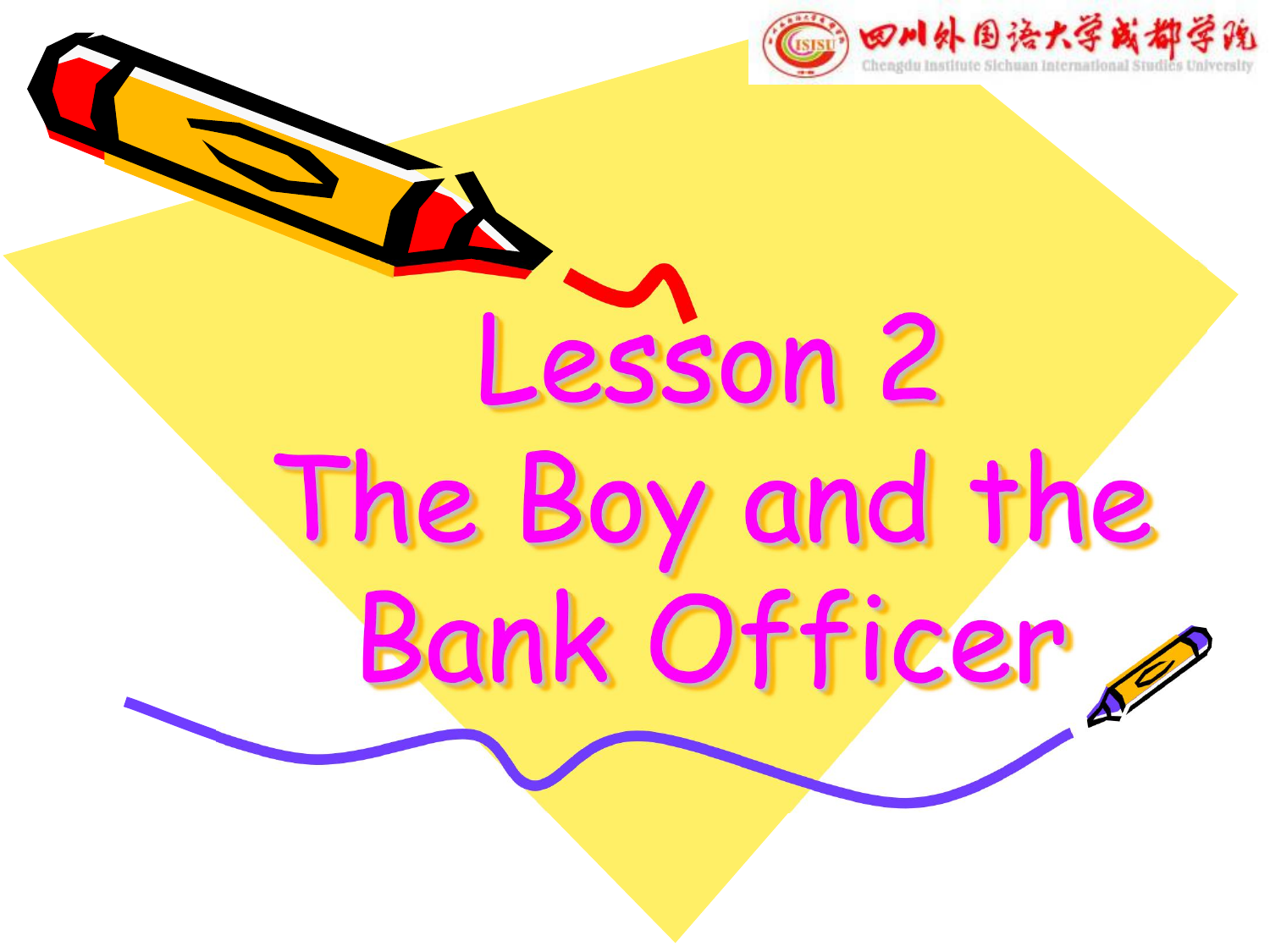

Lesson 2 The Boy and the Bank Officer,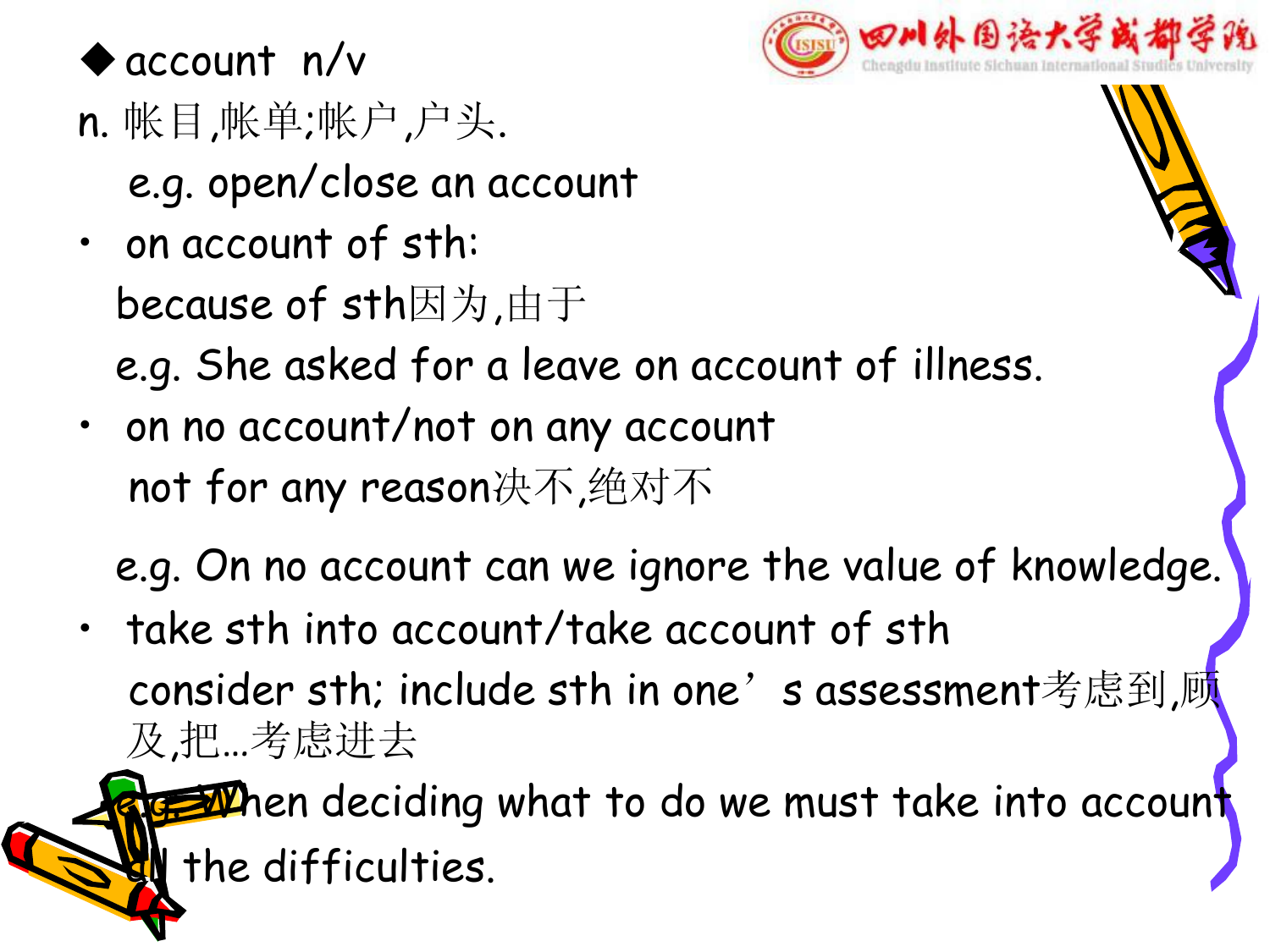

#### $\bullet$  account n/v

- n. 帐目,帐单;帐户,户头. e.g. open/close an account
- on account of sth: because of sth因为,由于



- e.g. She asked for a leave on account of illness.
- on no account/not on any account not for any reason决不,绝对不
	- e.g. On no account can we ignore the value of knowledge.
- take sth into account/take account of sth consider sth; include sth in one's assessment考虑到,顾 及,把…考虑进去

**EM**hen deciding what to do we must take into account I the difficulties.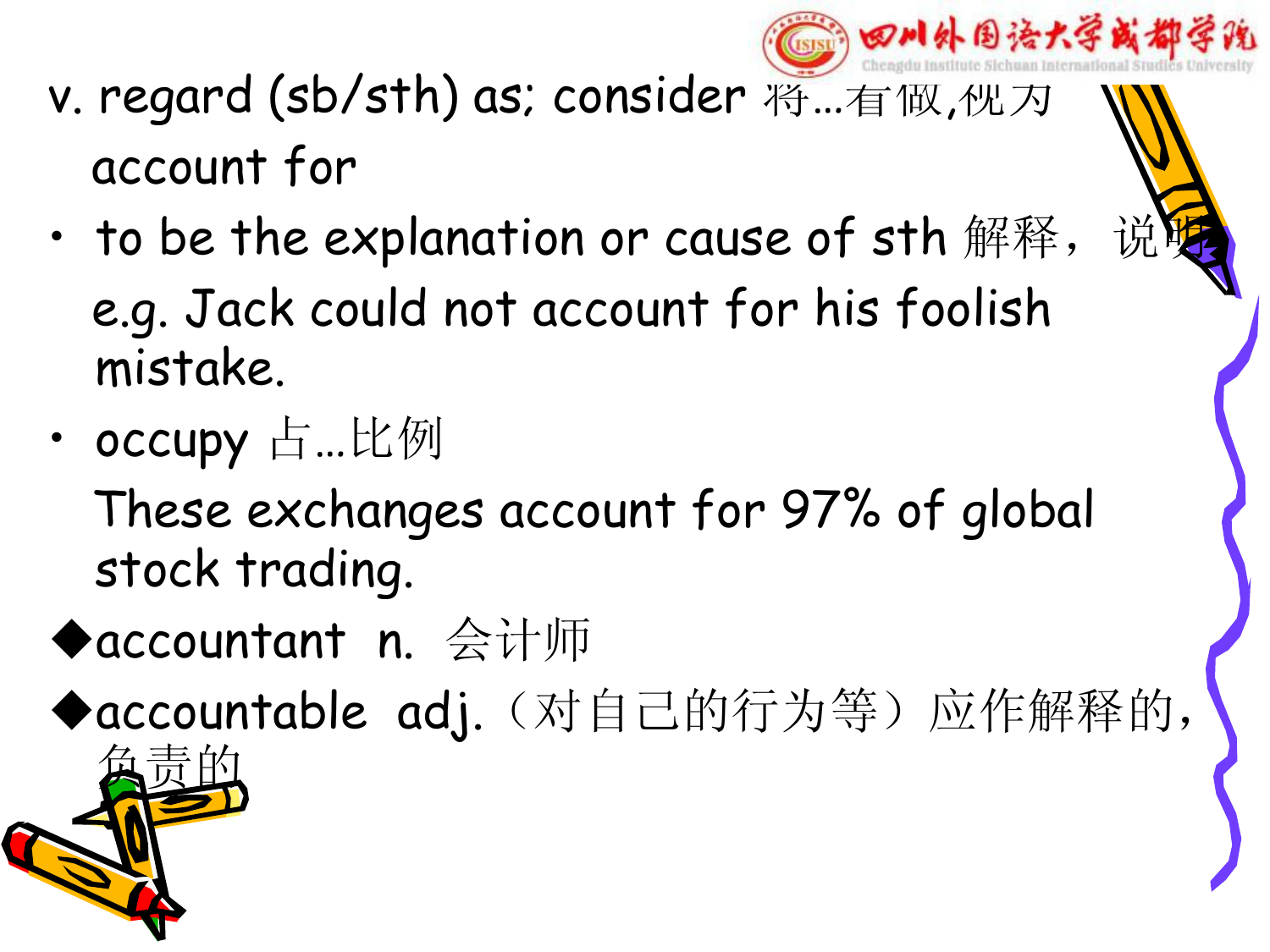

- v. regard (sb/sth) as; consider 将…有做, 他为 account for
- to be the explanation or cause of sth 解释, e.g. Jack could not account for his foolish mistake.
- occupy 占…比例

These exchanges account for 97% of global stock trading.

◆accountant n. 会计师

◆accountable adj. (对自己的行为等) 应作解释的,

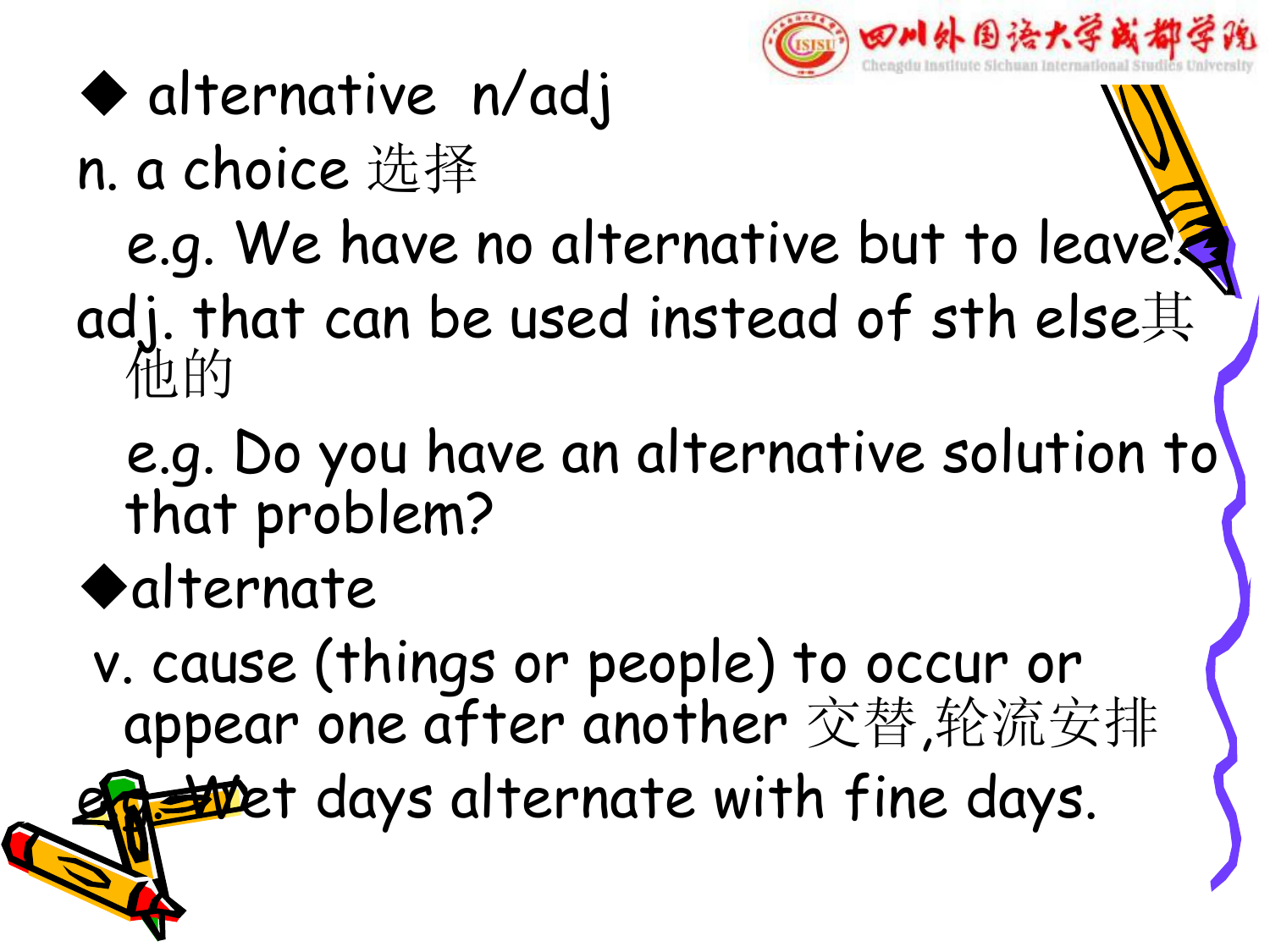

# u alternative n/adj

## n. a choice 选择

# e.g. We have no alternative but to leave.

#### adj. that can be used instead of sth else其 他的

## e.g. Do you have an alternative solution to that problem?

## $\blacklozenge$ alternate

v. cause (things or people) to occur or appear one after another 交替,轮流安排

the days alternate with fine days.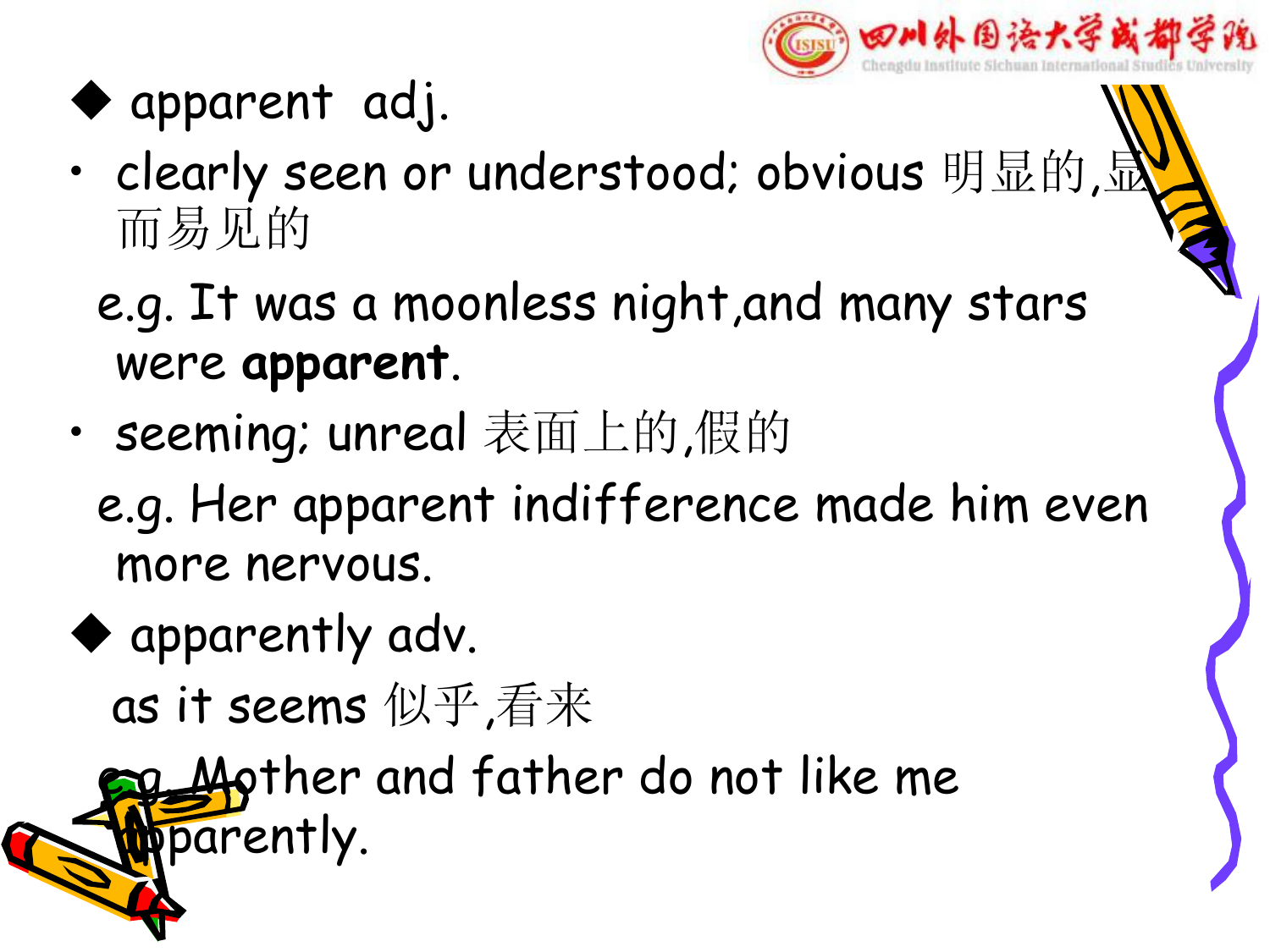

## $\blacktriangleright$  apparent adj.

- clearly seen or understood; obvious 明显的, 而易见的
	- e.g. It was a moonless night,and many stars were **apparent**.
- seeming; unreal 表面上的,假的
	- e.g. Her apparent indifference made him even more nervous.
- $\blacklozenge$  apparently adv.
	- as it seems 似乎,看来

 $\Delta\phi$ ther and father do not like me parently.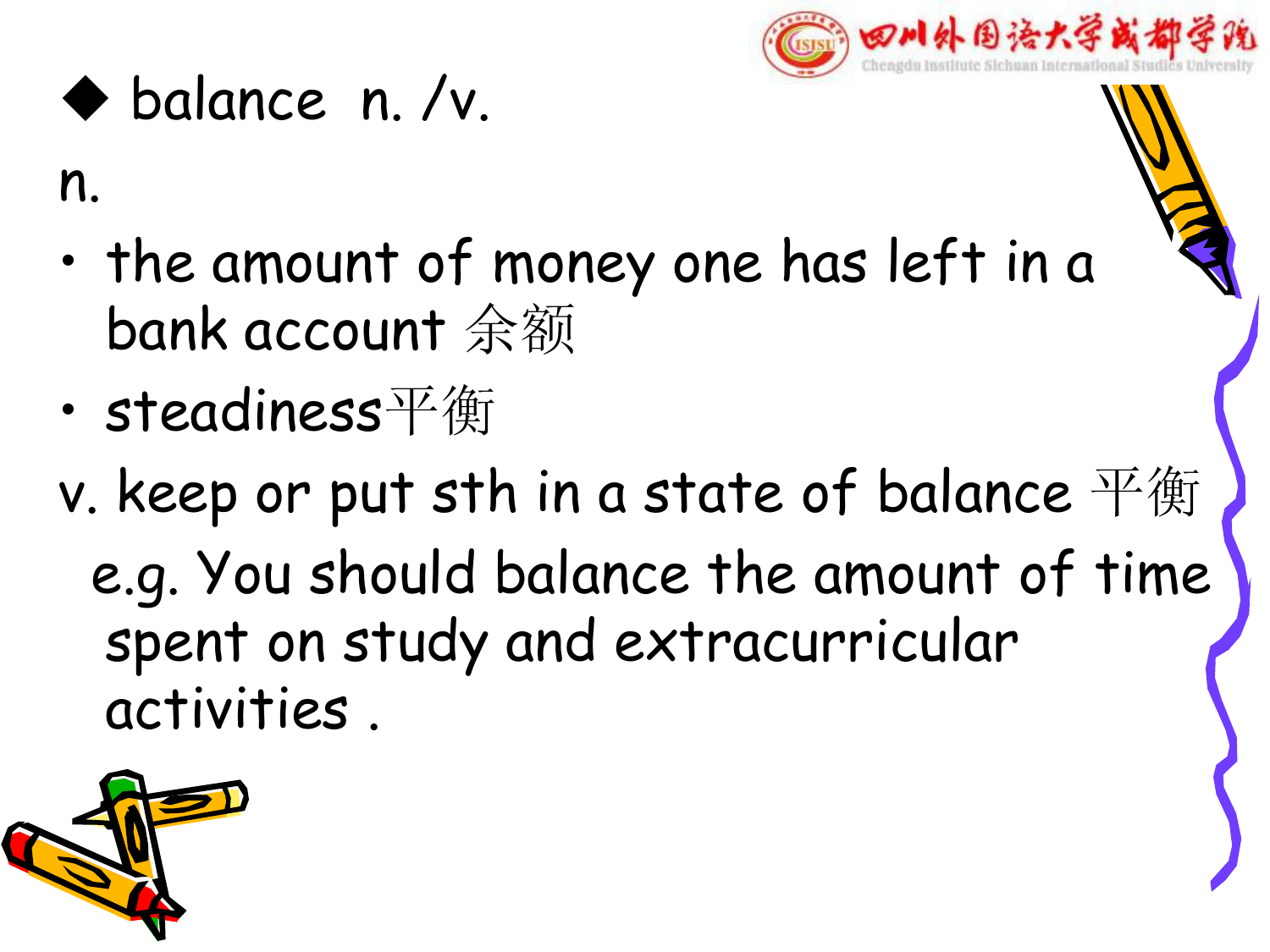

## $\bullet$  balance n. /v.

n.

- the amount of money one has left in a bank account 余额
- steadiness平衡
- v. keep or put sth in a state of balance  $\mathbb{F}$ 衡 e.g. You should balance the amount of time spent on study and extracurricular activities .

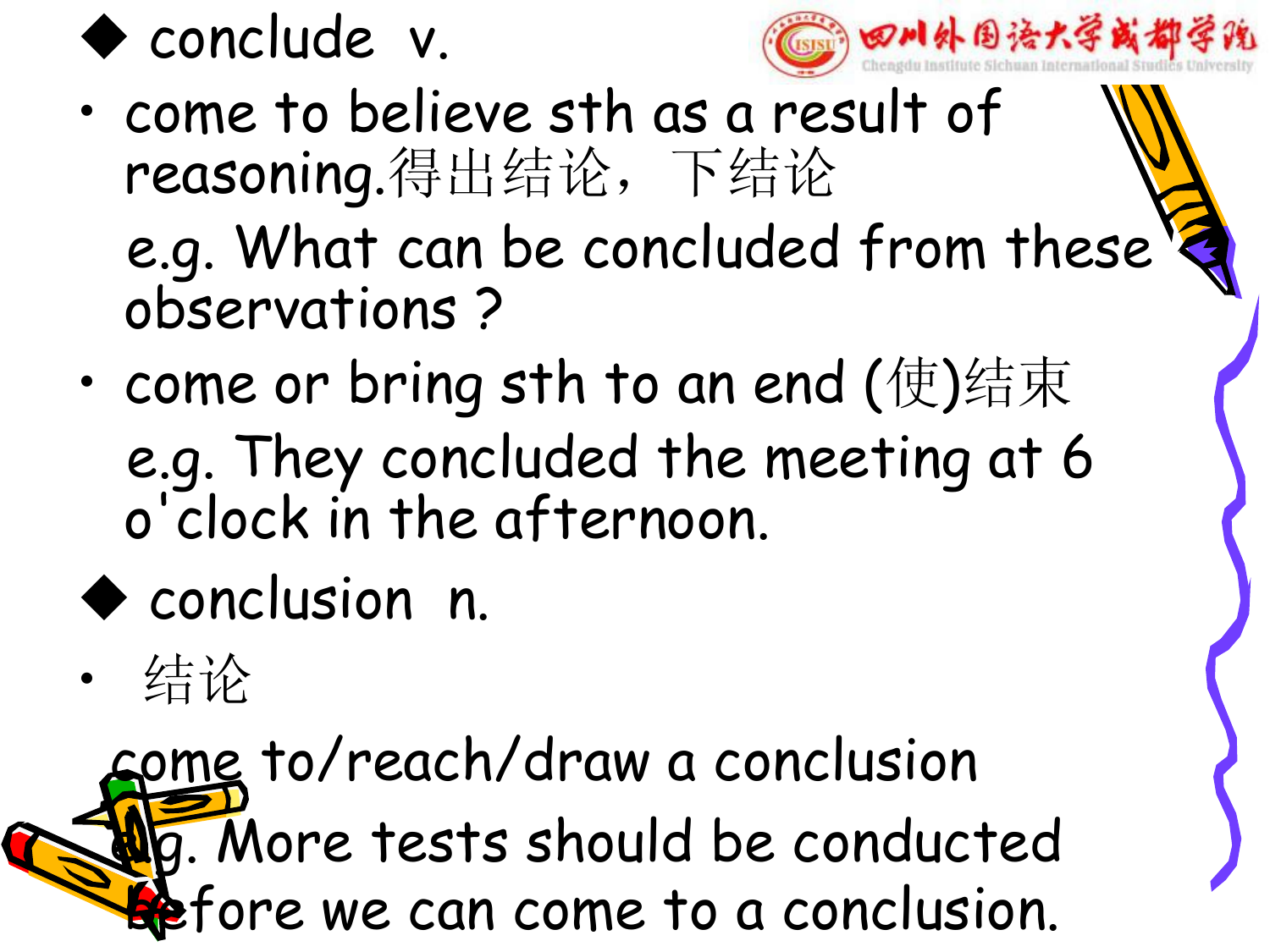



- come to believe sth as a result of reasoning.得出结论,下结论 e.g. What can be concluded from these observations ?
- come or bring sth to an end  $(\circledast)$ 结束 e.g. They concluded the meeting at 6 o'clock in the afternoc clock in the afternoon.
- ◆ conclusion n.
- 结论

come to/reach/draw a conclusion **g.** More tests should be conducted efore we can come to a conclusion.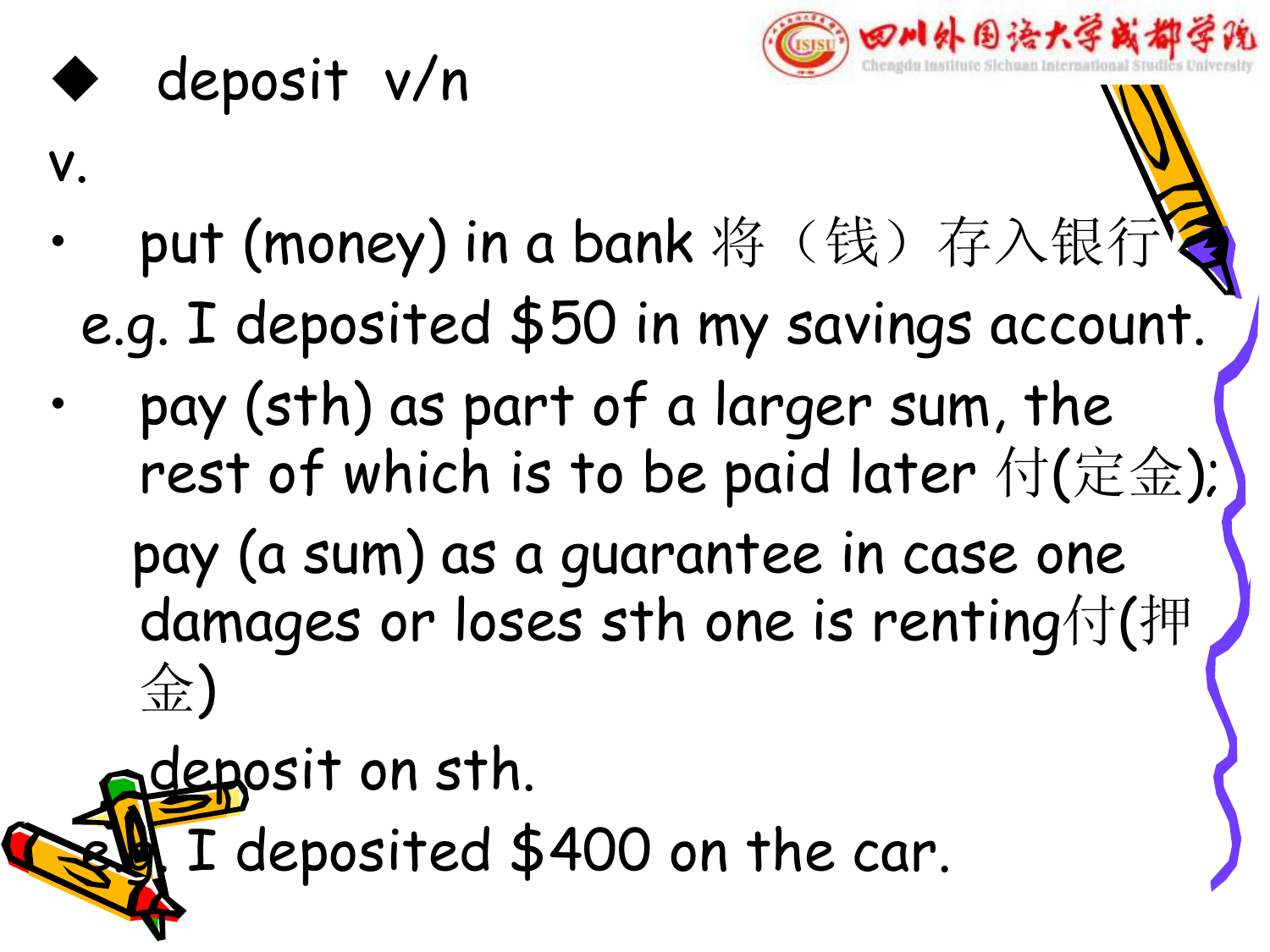

## deposit v/n

v.

- put (money) in a bank 将(钱) 存入银行 e.g. I deposited \$50 in my savings account.
- pay (sth) as part of a larger sum, the rest of which is to be paid later 付(定金);

pay (a sum) as a guarantee in case one damages or loses sth one is renting付(押 金)

deposit on sth. I deposited \$400 on the car.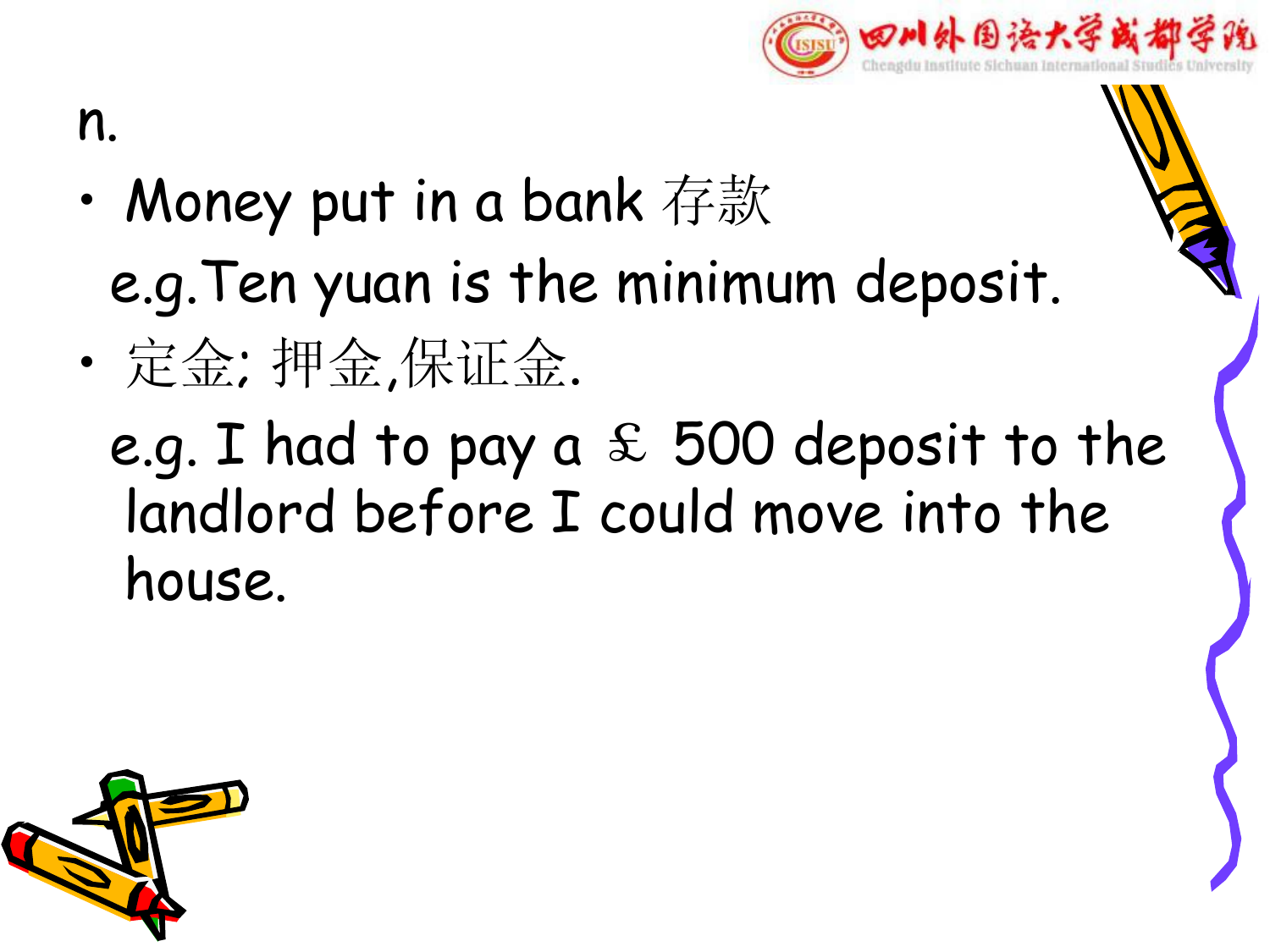

#### n.

- Money put in a bank 存款 e.g.Ten yuan is the minimum deposit.
- 定金; 押金,保证金.
	- e.g. I had to pay a  $f$  500 deposit to the landlord before I could move into the house.

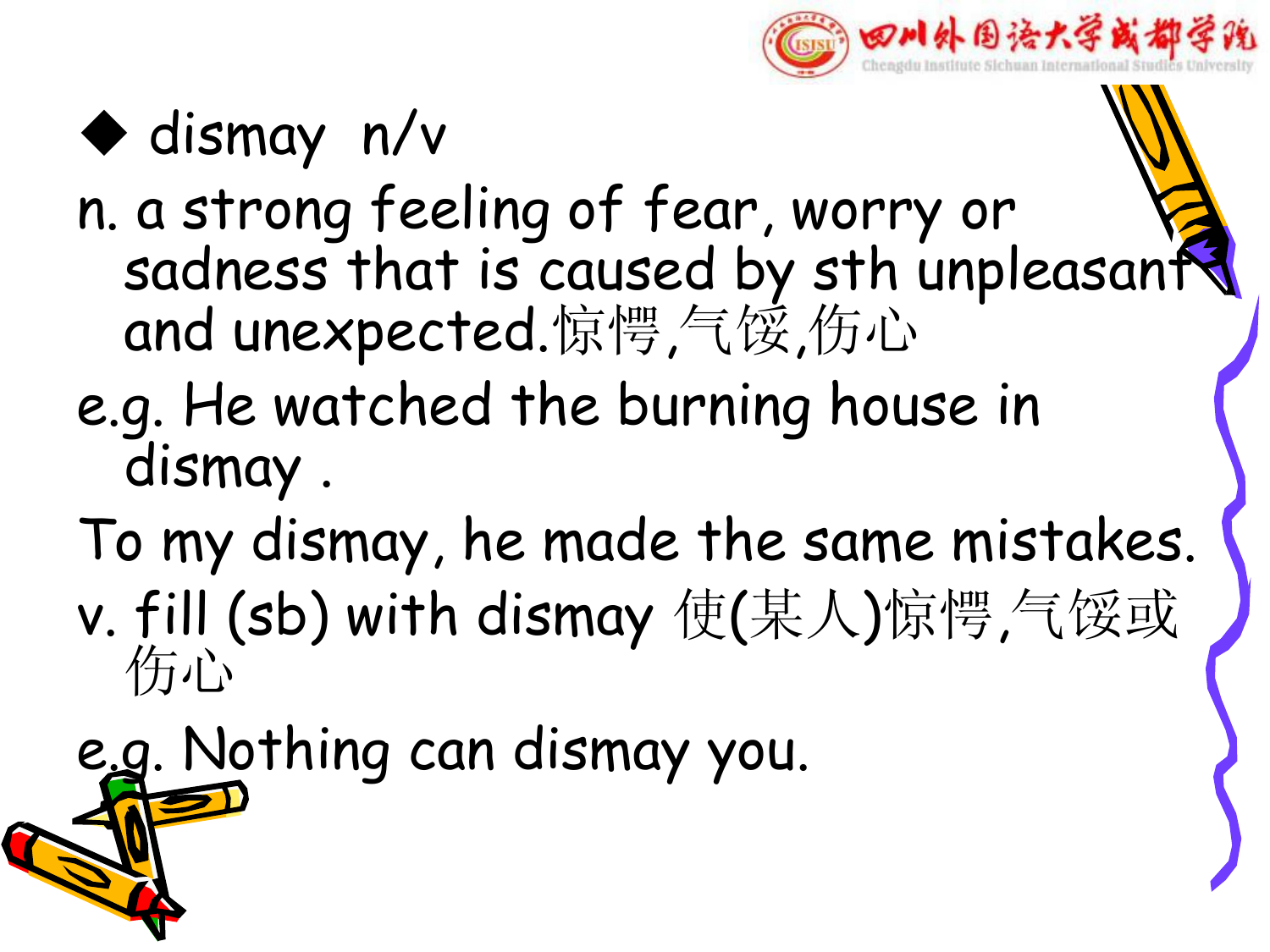

## $\blacklozenge$  dismay n/v

- n. a strong feeling of fear, worry or sadness that is caused by sth unpleasant and unexpected.惊愕,气馁,伤心
- e.g. He watched the burning house in dismay .
- To my dismay, he made the same mistakes.
- v. fill (sb) with dismay 使(某人)惊愕,气馁或 伤心
- e.g. Nothing can dismay you.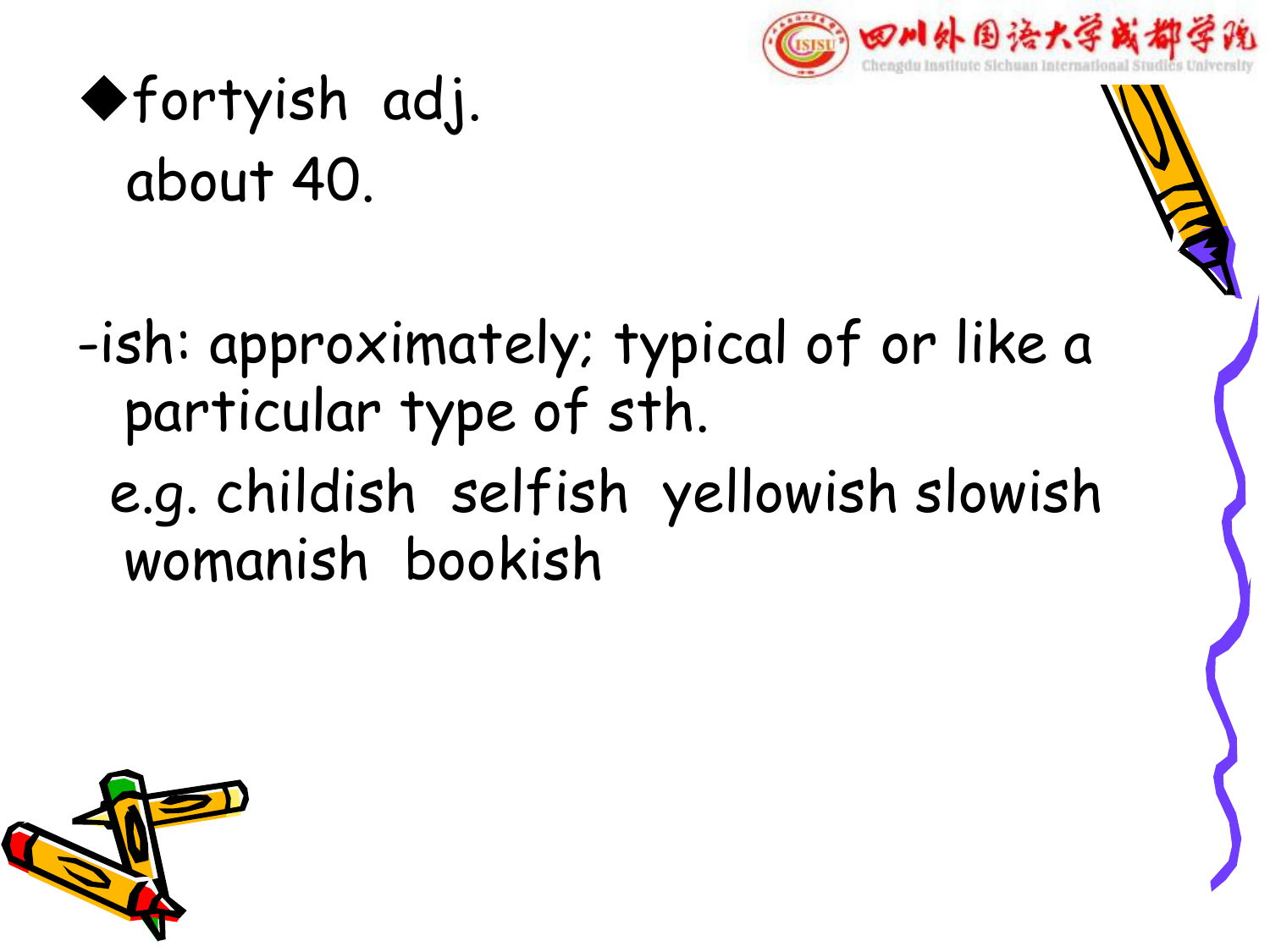

# ufortyish adj. about 40.

-ish: approximately; typical of or like a particular type of sth. e.g. childish selfish yellowish slowish womanish bookish

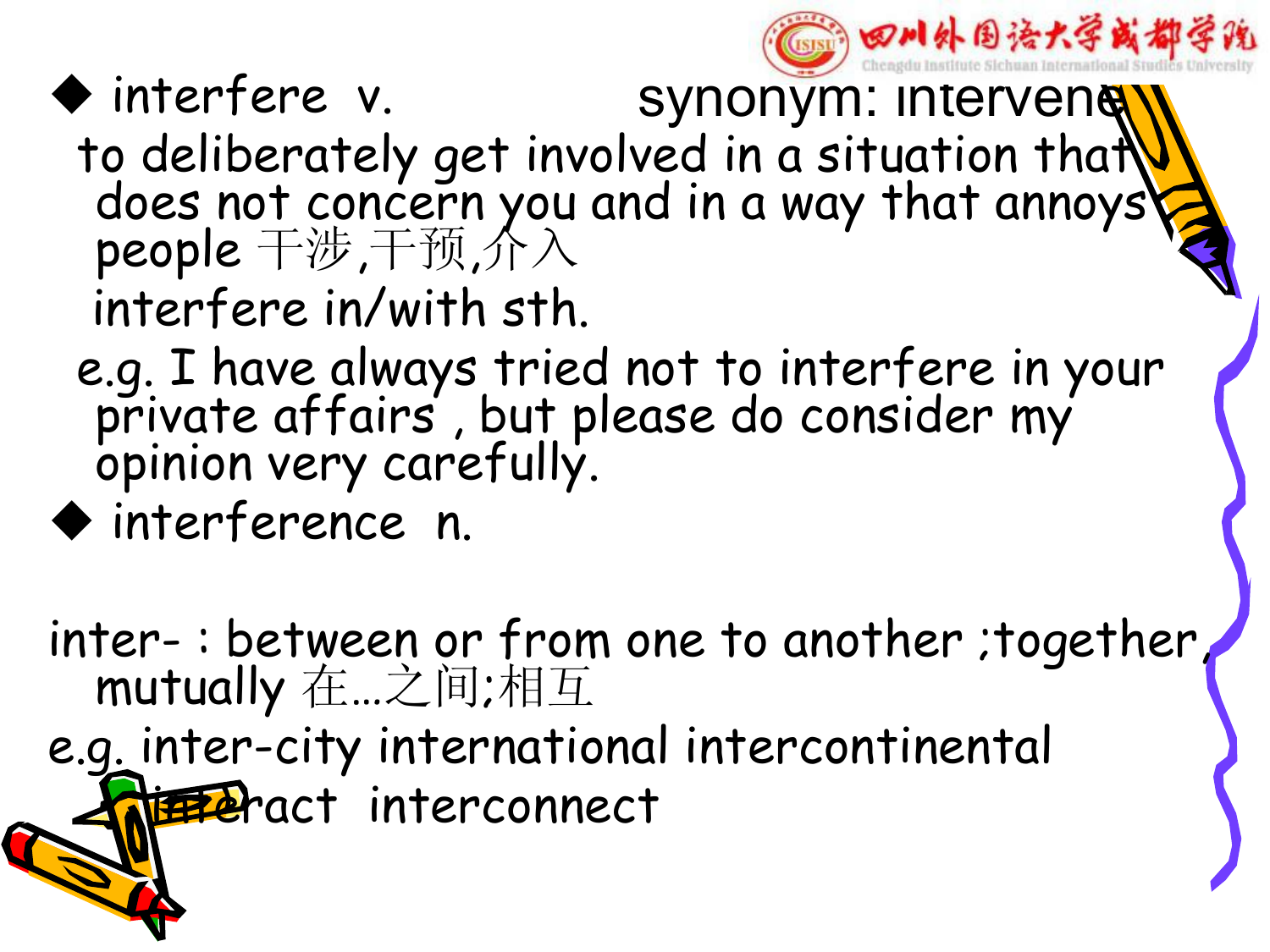

### ◆ interfere v. synonym: intervenety

- to deliberately get involved in a situation that does not concern you and in a way that annoys people 干涉,干预,介入 interfere in/with sth.
- e.g. I have always tried not to interfere in your private affairs , but please do consider my opinion very carefully.
- $\blacklozenge$  interference n.

inter- : between or from one to another ;together, mutually 在…之间;相互

e.g. inter-city international intercontinental the Pract interconnect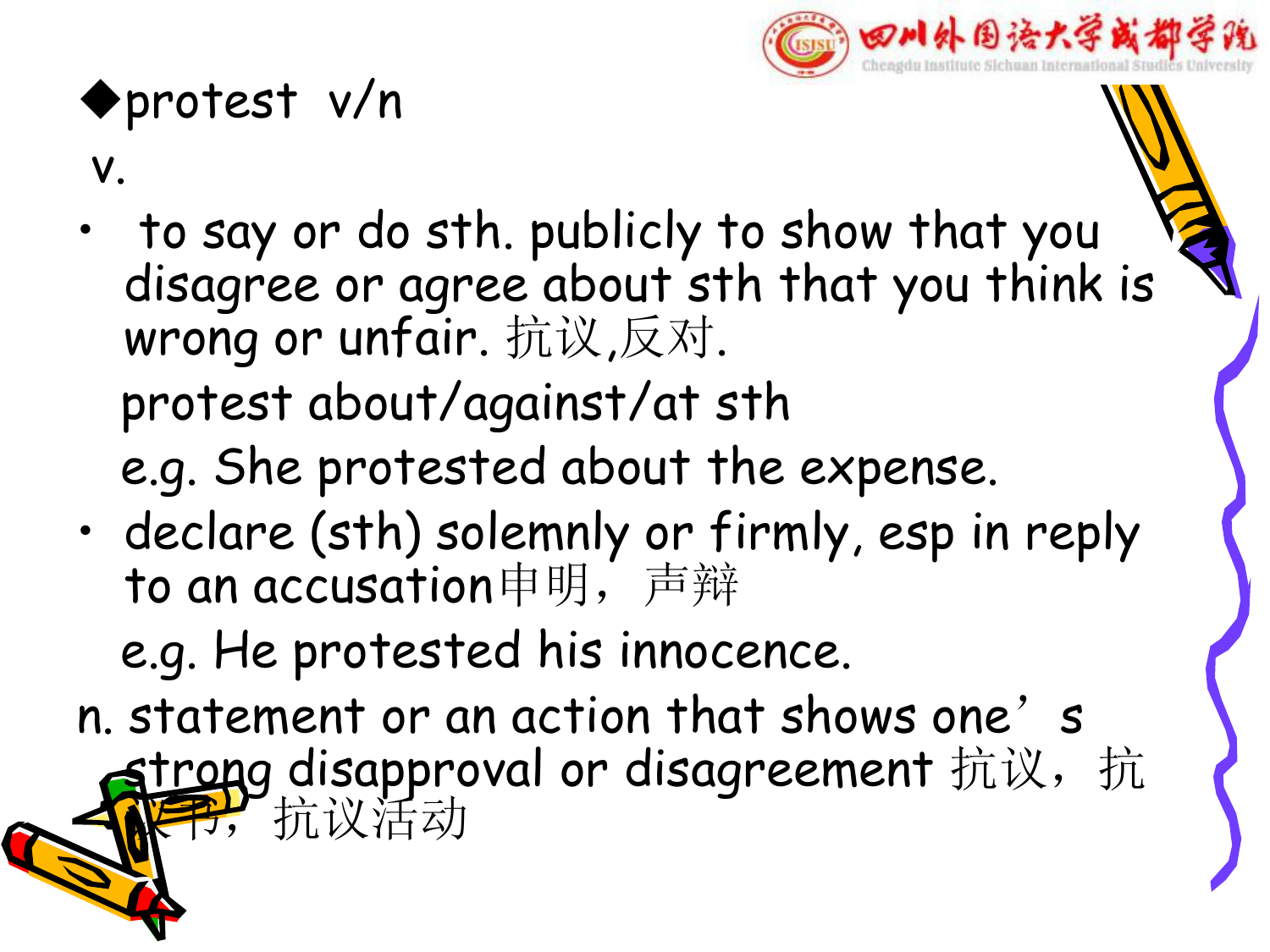

#### uprotest v/n

#### v.

- to say or do sth. publicly to show that you disagree or agree about sth that you think is wrong or unfair. 抗议,反对. protest about/against/at sth e.g. She protested about the expense.
- declare (sth) solemnly or firmly, esp in reply to an accusation申明,声辩

e.g. He protested his innocence.

n. statement or an action that shows one's strong disapproval or disagreement 抗议, 抗 议书,抗议活动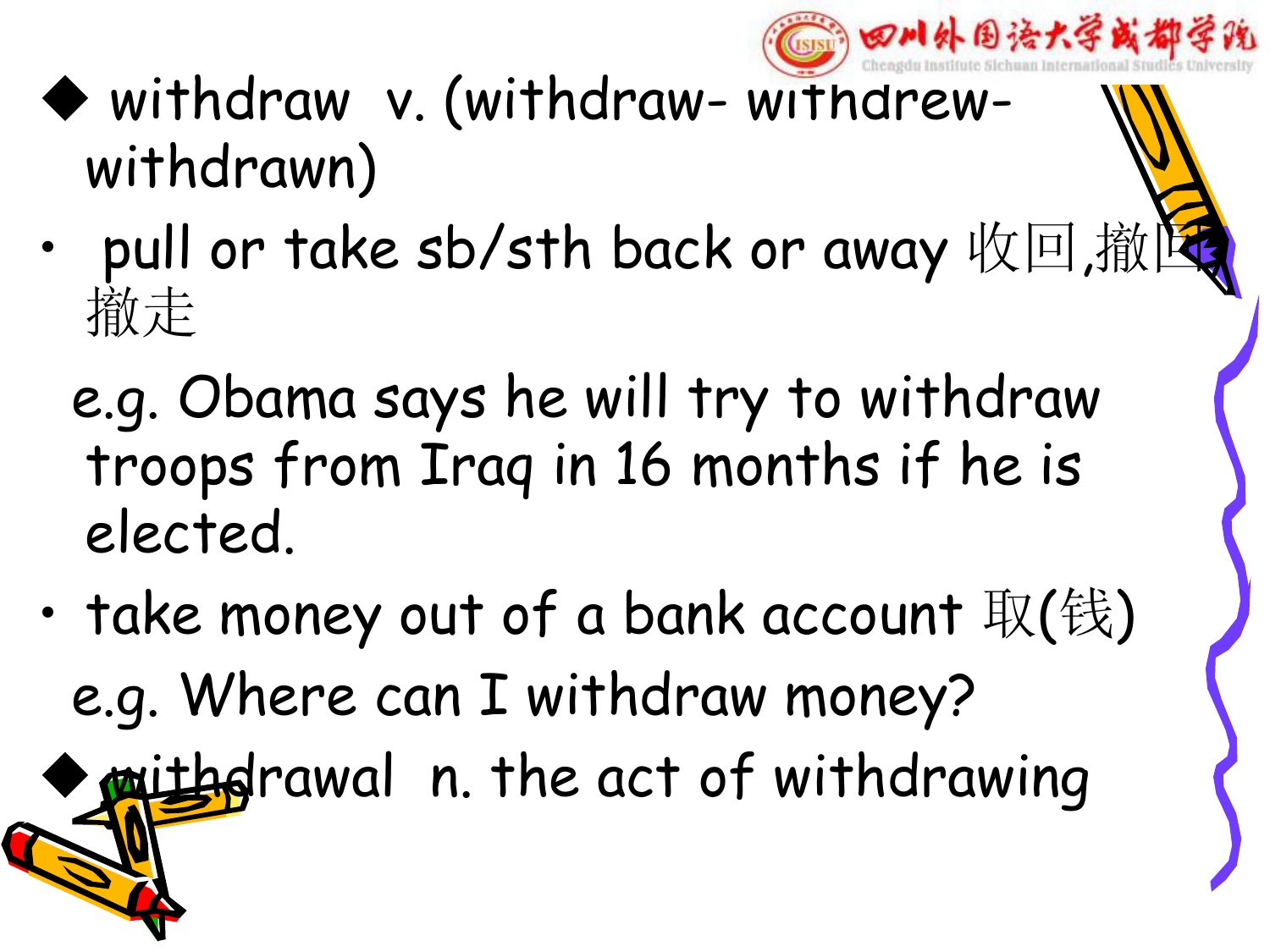

## $\blacklozenge$  withdraw v. (withdraw- withdrewwithdrawn)

- pull or take sb/sth back or away 收回,撤 撤走
	- e.g. Obama says he will try to withdraw troops from Iraq in 16 months if he is elected.
- take money out of a bank account  $\Psi(\hat{\mathfrak{g}})$ e.g. Where can I withdraw money?

mithdrawal n. the act of withdrawing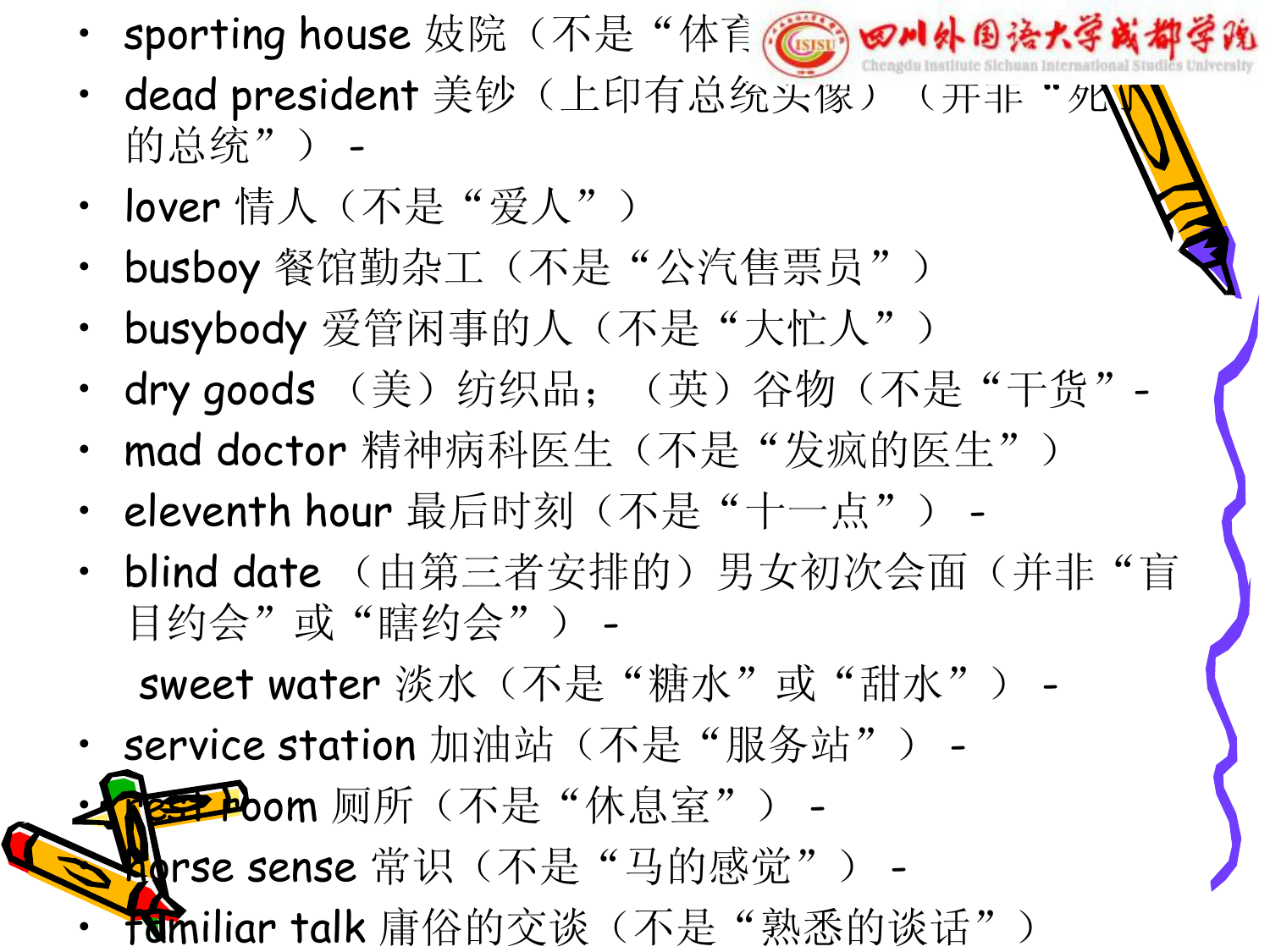- sporting house 妓院 (不是"体育学学 四川外围法大学或都学院
- dead president 美钞(上印有总统头像)(开非"タ 的总统") -
- lover 情人 (不是"爱人")
- busboy 餐馆勤杂工(不是"公汽售票员")
- busybody 爱管闲事的人(不是"大忙人")
- dry goods (美) 纺织品; (英) 谷物(不是"干货"-
- mad doctor 精神病科医生(不是"发疯的医生")
- eleventh hour 最后时刻(不是"十一点") -
- blind date (由第三者安排的) 男女初次会面(并非"盲 目约会"或"瞎约会") -

sweet water 淡水(不是"糖水"或"甜水") -

• service station 加油站 (不是"服务站") -

第220m 厕所(不是"休息室") -

sense 常识(不是"马的感觉") -

• familiar talk 庸俗的交谈(不是"熟悉的谈话")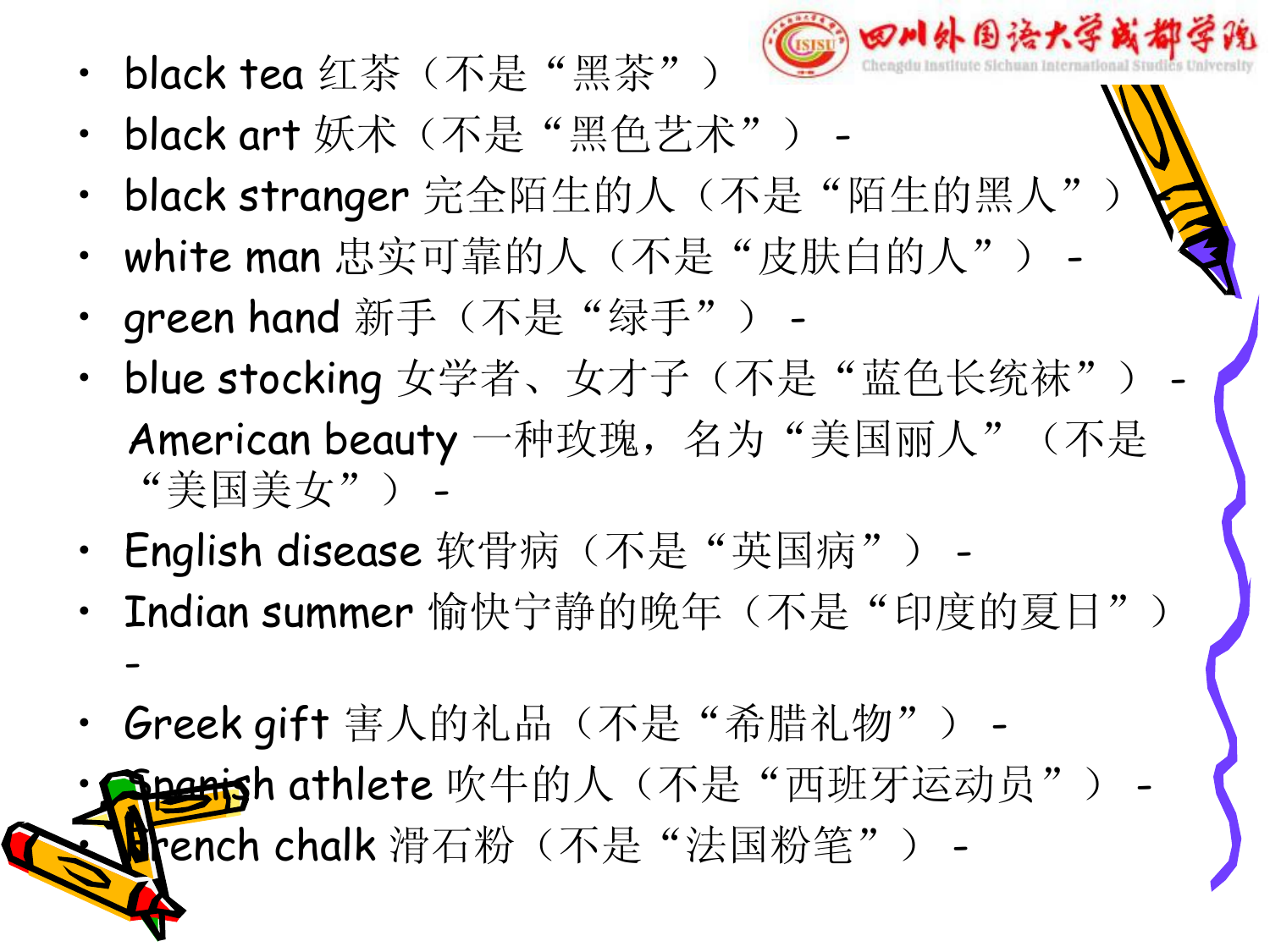• black tea 红茶 (不是"黑茶") –



- black art 妖术(不是"黑色艺术") -
- black stranger 完全陌生的人(不是"陌生的黑人"
- white man 忠实可靠的人(不是"皮肤白的人")
- green hand 新手(不是"绿手") -
- blue stocking 女学者、女才子(不是"蓝色长统袜") American beauty 一种玫瑰,名为"美国丽人"(不是 "美国美女") -
- English disease 软骨病(不是"英国病") -
- Indian summer 愉快宁静的晚年(不是"印度的夏日") -
- Greek gift 害人的礼品(不是"希腊礼物") -

iperish athlete 吹牛的人(不是"西班牙运动员") rench chalk 滑石粉(不是"法国粉笔") -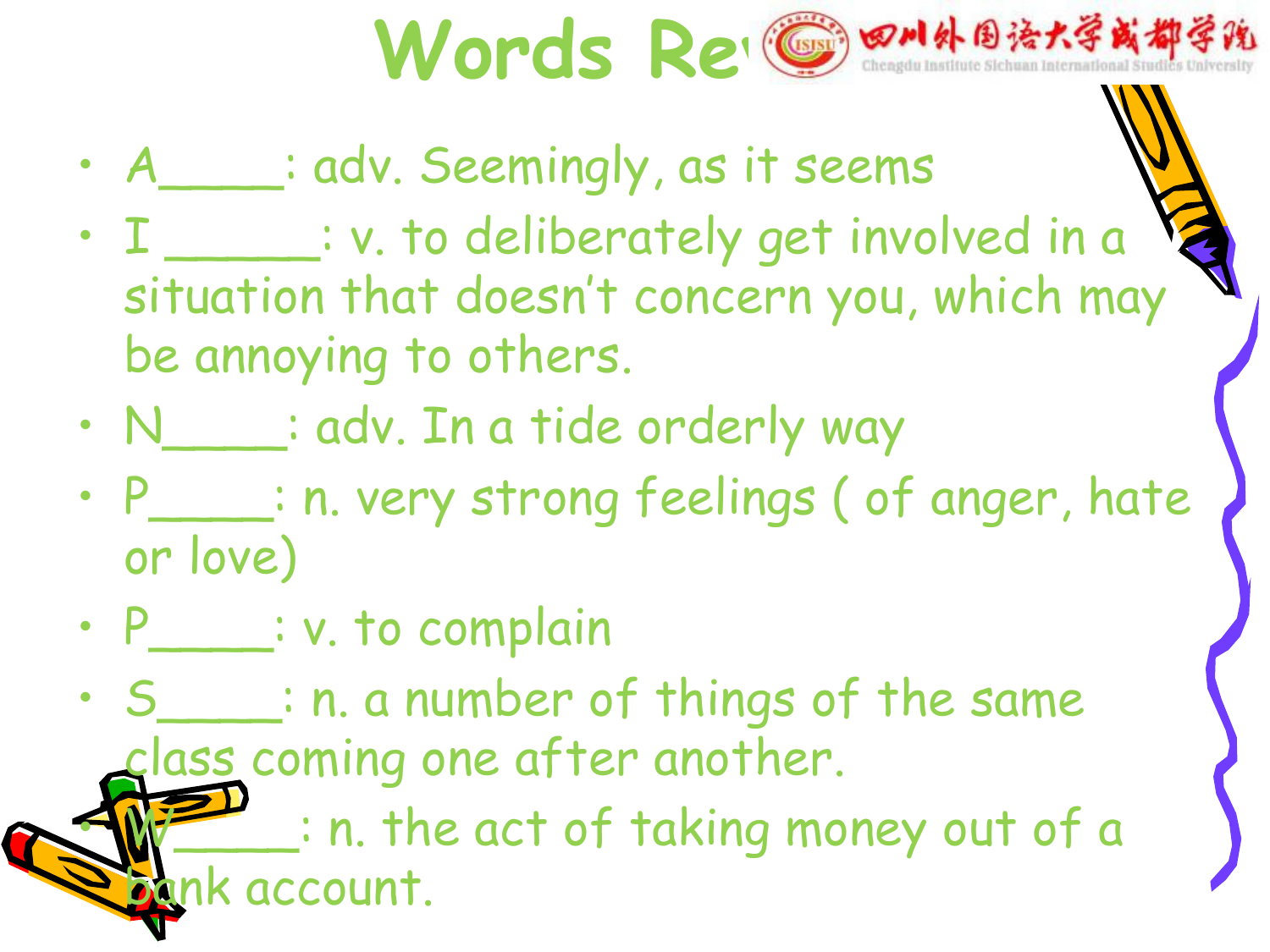

- A\_\_\_\_: adv. Seemingly, as it seems
- I \_\_\_\_\_\_: v. to deliberately get involved in a situation that doesn't concern you, which may be annoying to others.
- N\_\_\_\_: adv. In a tide orderly way
- P\_\_\_\_: n. very strong feelings ( of anger, hate or love)
- P\_\_\_\_\_: v. to complain

• S\_\_\_\_: n. a number of things of the same class coming one after another.  $\Box$ : n. the act of taking money out of a nk account.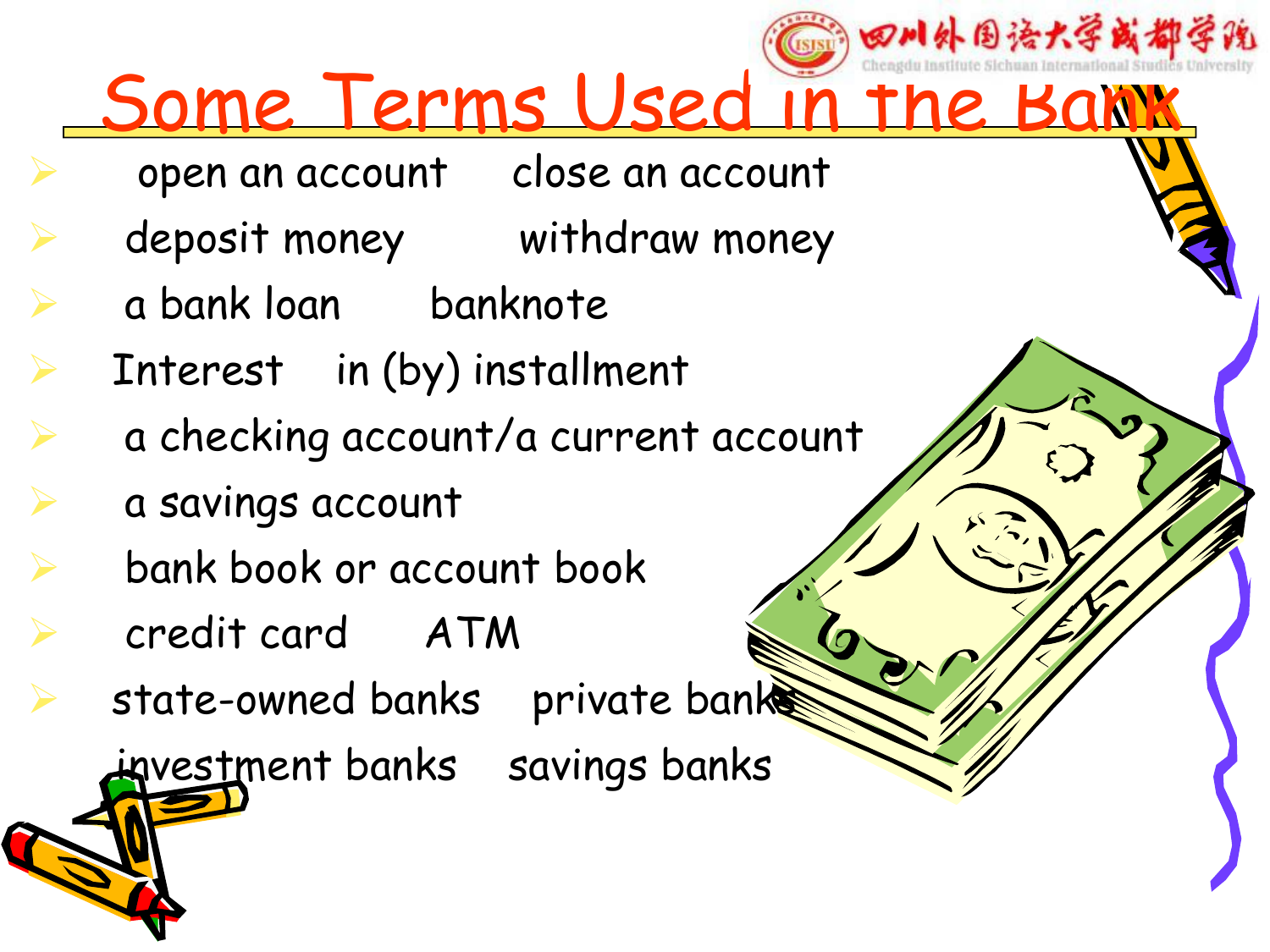## 四川外围语大学或都学院 Some Terms Used in the Bank

- open an account close an account
- deposit money withdraw money
- Ø a bank loan banknote
- Interest in (by) installment
	- Ø a checking account/a current account
	- Ø a savings account
- Ø bank book or account book
- Ø credit card ATM
- state-owned banks private banks

investment banks savings banks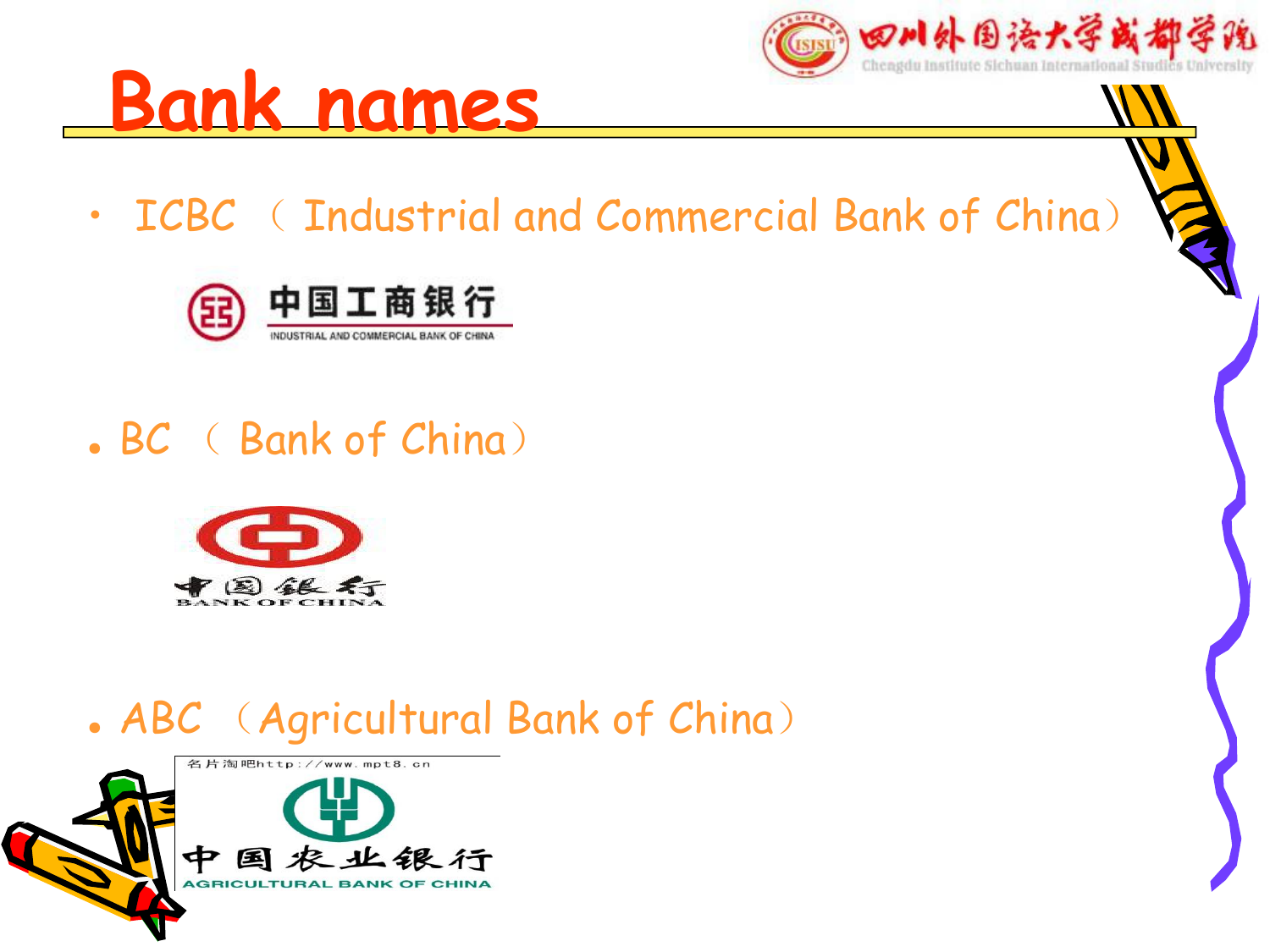





**Bank names**

#### . BC ( Bank of China)



#### . ABC (Agricultural Bank of China)

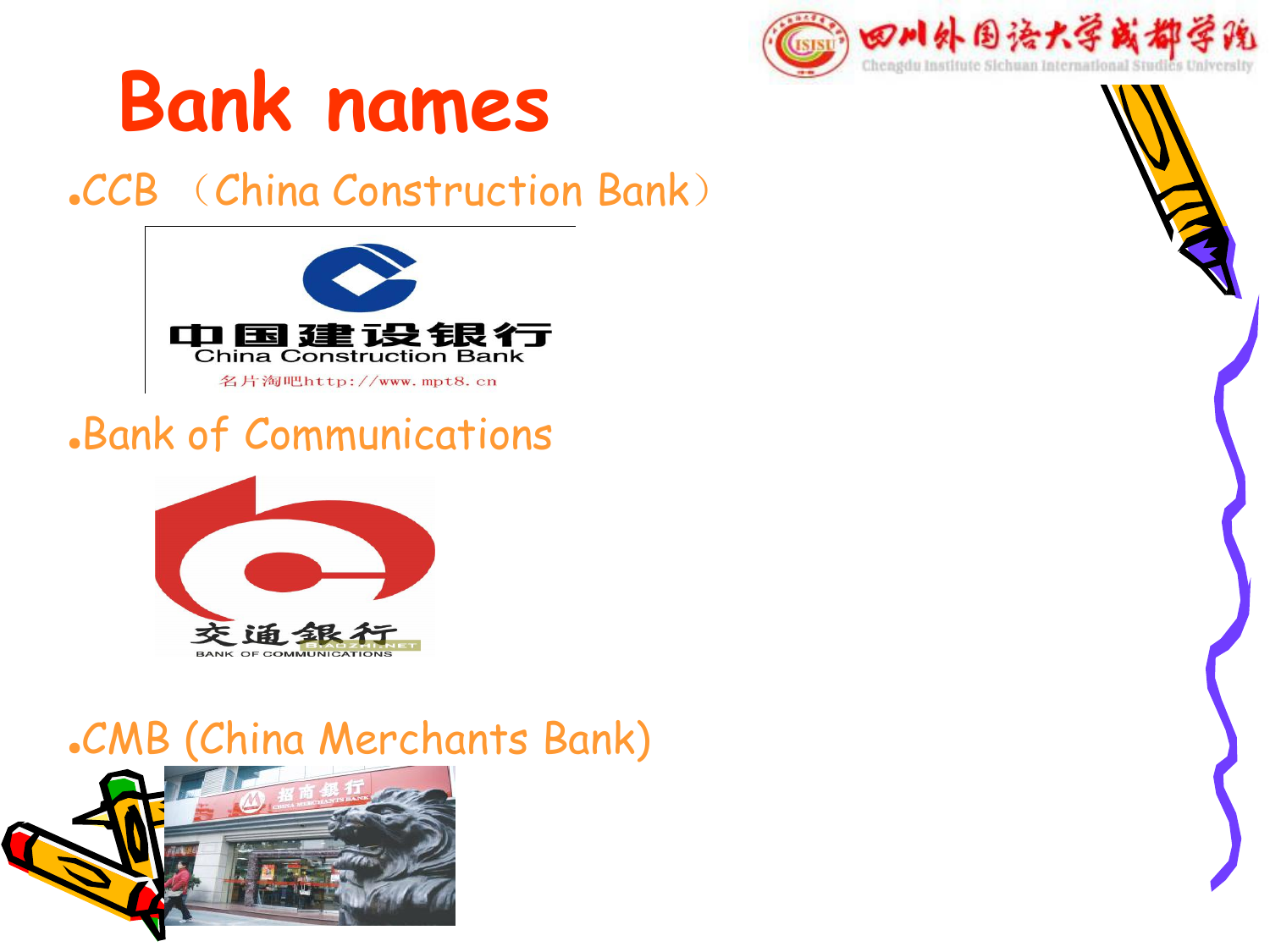

# **Bank names**

#### ●CCB (China Construction Bank)



#### ●Bank of Communications



#### .CMB (China Merchants Bank)

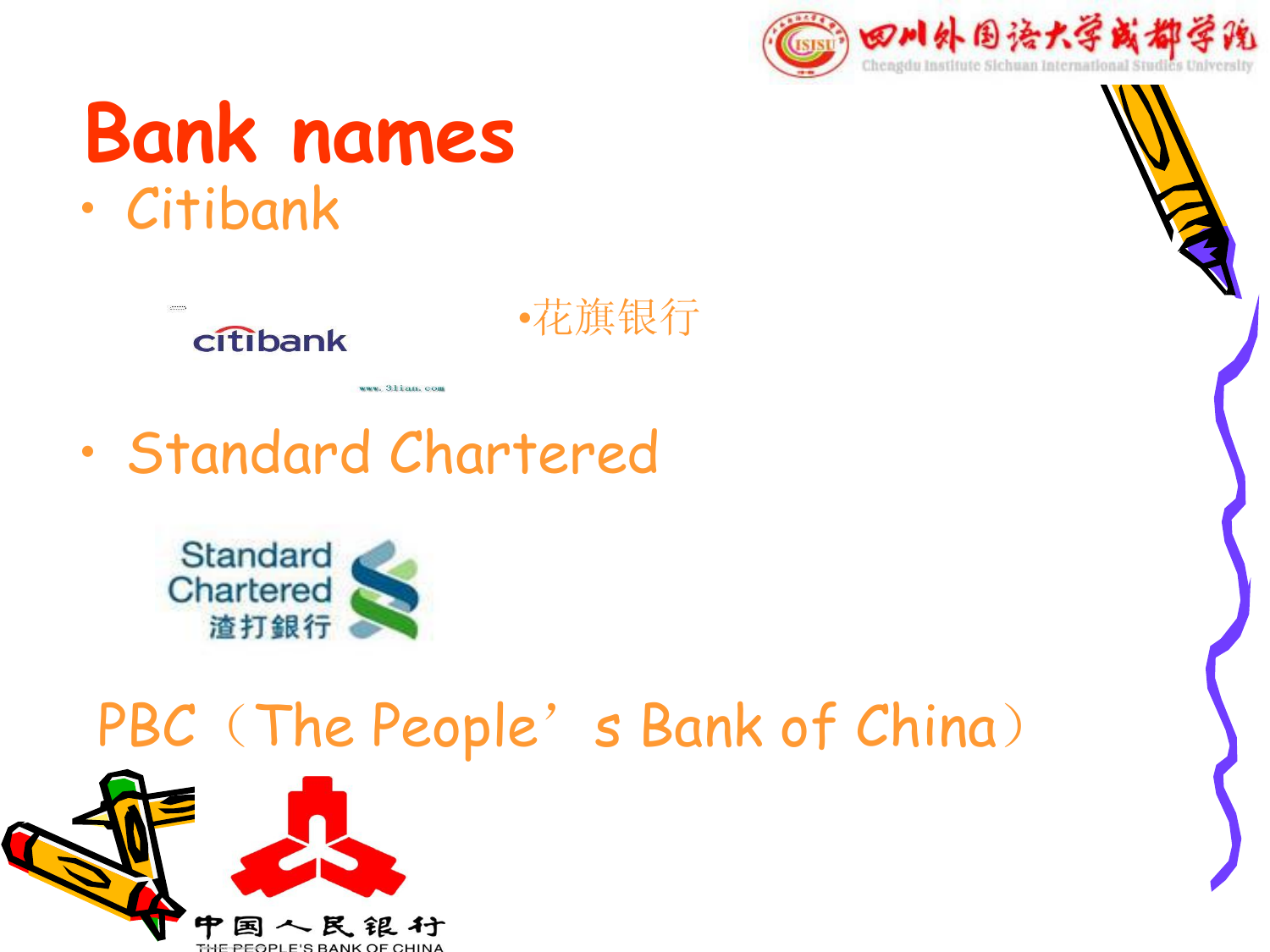

# **Bank names**





•花旗银行

## • Standard Chartered

www.31ian.com



## PBC (The People's Bank of China)

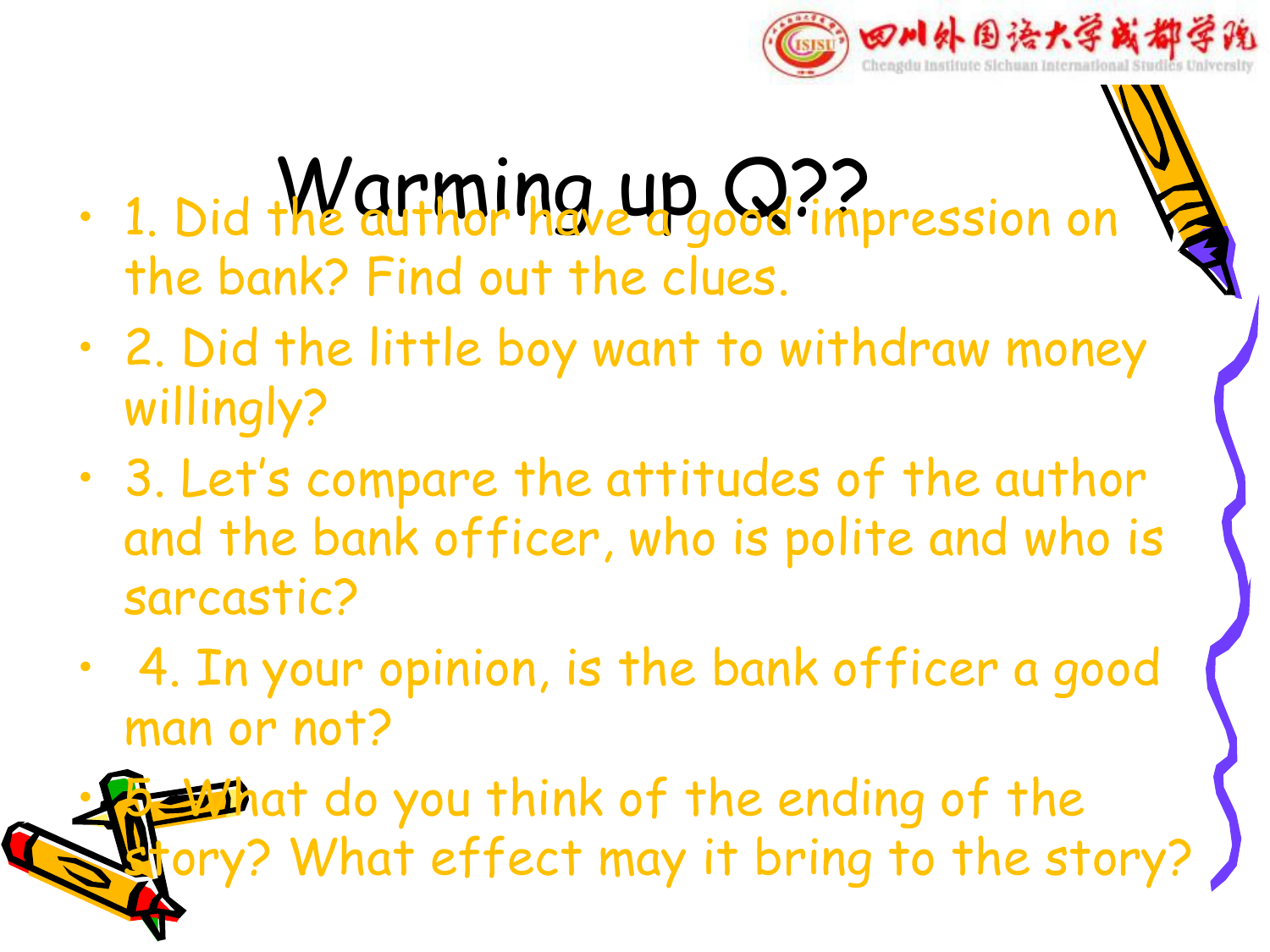

- $\cdot$  1. Did the alithdring up  $\Omega$ ? impression on the bank? Find out the clues.
- 2. Did the little boy want to withdraw money willingly?
- 3. Let's compare the attitudes of the author and the bank officer, who is polite and who is sarcastic?
- 4. In your opinion, is the bank officer a good man or not?

**Ethat do you think of the ending of the** ory? What effect may it bring to the story?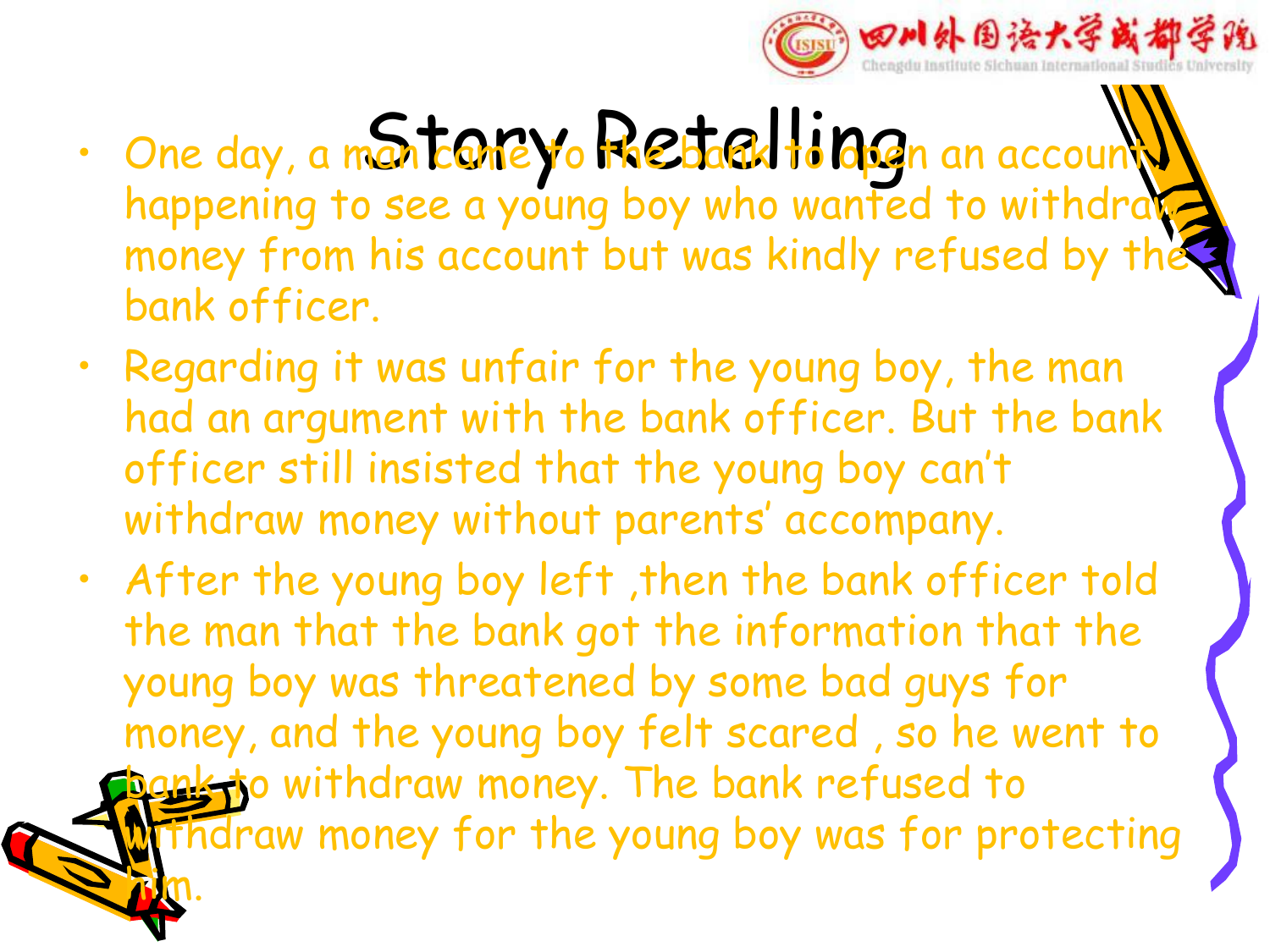

- $\cdot$  One day, a montoney of Restalling an account happening to see a young boy who wanted to withdraw money from his account but was kindly refused by the bank officer.
- $\cdot$  Regarding it was unfair for the young boy, the man had an argument with the bank officer. But the bank officer still insisted that the young boy can't withdraw money without parents' accompany.
- After the young boy left ,then the bank officer told the man that the bank got the information that the young boy was threatened by some bad guys for money, and the young boy felt scared , so he went to bank to withdraw money. The bank refused to Fhdraw money for the young boy was for protecting him.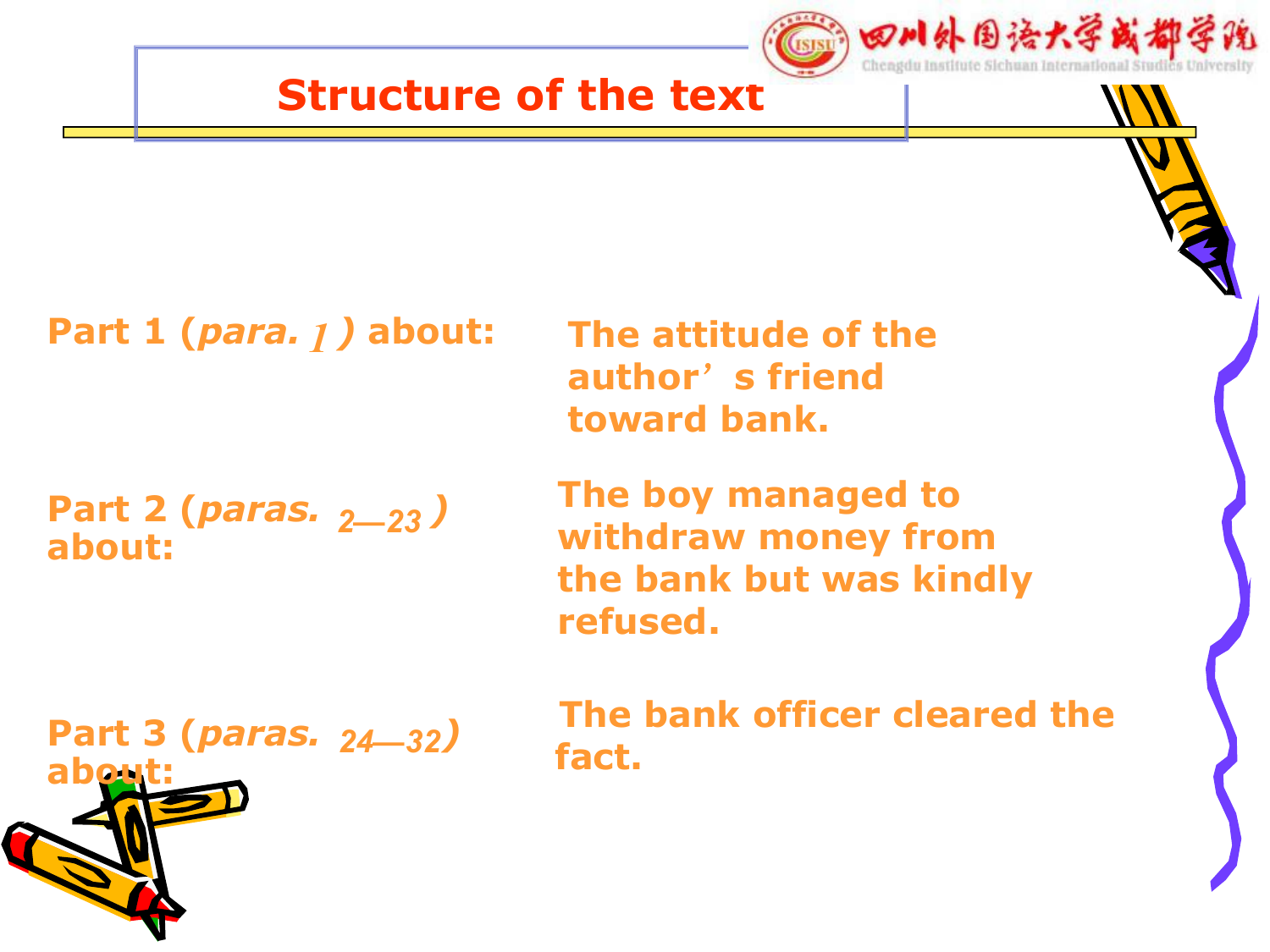

**Part 1 (***para. )* **about:** *1*

**Part 2 (***paras. )* **about:**

**The attitude of the author**'**s friend toward bank.**

**The boy managed to withdraw money from** *2—23* **the bank but was kindly refused.**

Part 3 (*paras.* 24—32) *Fact Part* **about:**

**The bank officer cleared the fact.**

四川外围语大学或都学院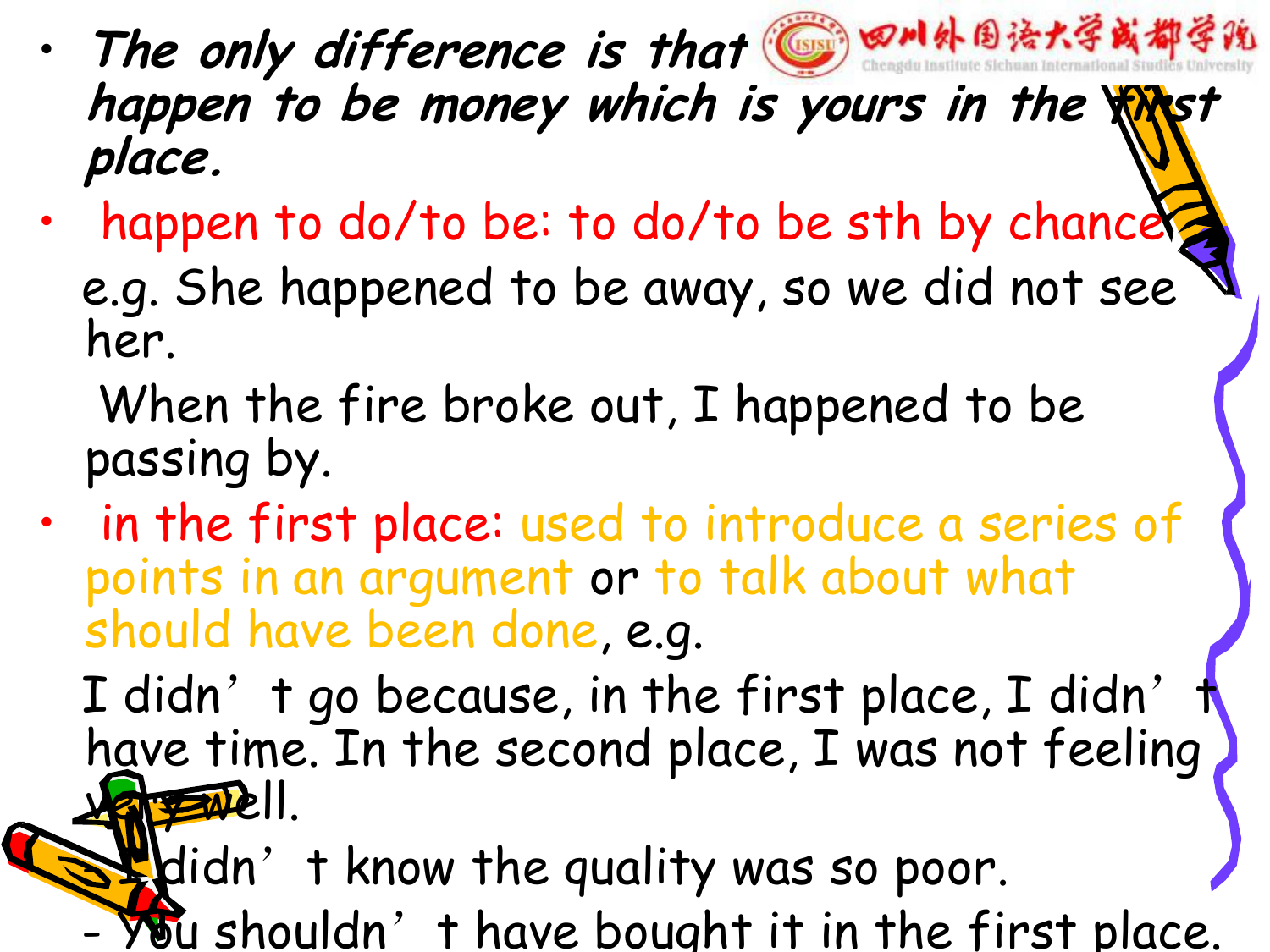- The only difference is that **<b>@ 8M外围法大学或都学院 happen to be money which is yours in the first place.**
- happen to do/to be: to do/to be sth by chance e.g. She happened to be away, so we did not see her.
	- When the fire broke out, I happened to be passing by.
- in the first place: used to introduce a series of points in an argument or to talk about what should have been done, e.g.

I didn't go because, in the first place, I didn't have time. In the second place, I was not feeling very well.

 $\mathbf{B}$  didn't know the quality was so poor.

 $\forall$ bu shouldn't have bought it in the first place.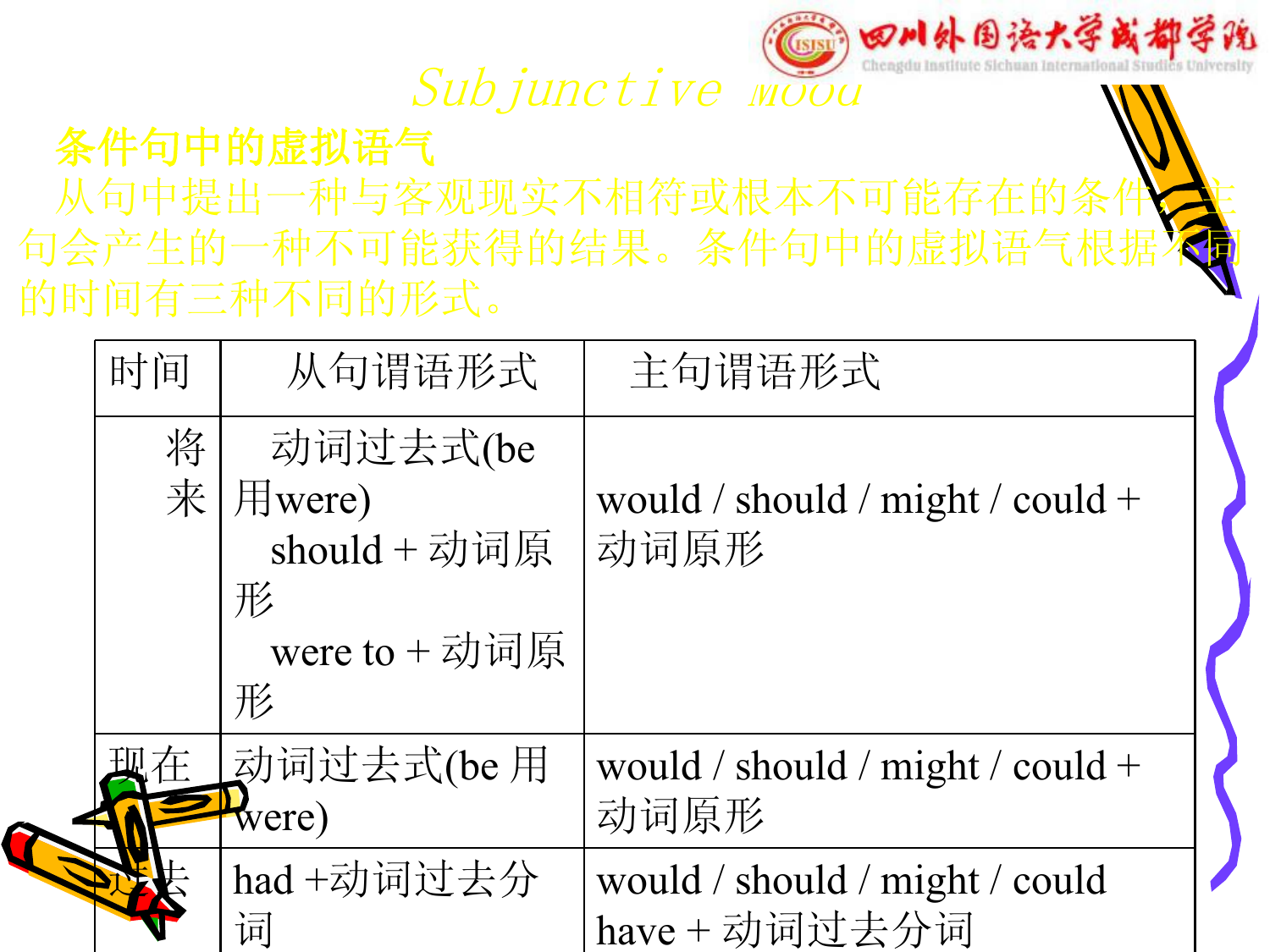#### ◎∞M外围语大学或都学院 (USISI)

#### Subjunctive *mood*

#### 条件句中的虚拟语气

从句中提出一种与客观现实不相符或根本不可能存在的条1 句会产生的一种不可能获得的结果。条件句中的虚拟语气根 的时间有三种不同的形式。

| 时间     | 从句谓语形式                                                                    | 主句谓语形式                                        |  |
|--------|---------------------------------------------------------------------------|-----------------------------------------------|--|
| 将<br>来 | 动词过去式(be<br>$\boxplus$ were)<br>should + 动词原<br>形<br>were to $+$ 动词原<br>形 | would / should / might / could +<br>动词原形      |  |
|        | 动词过去式(be 用<br>were)                                                       | would / should / might / could +<br>动词原形      |  |
|        | had+动词过去分<br>词                                                            | would / should / might / could<br>have+动词过去分词 |  |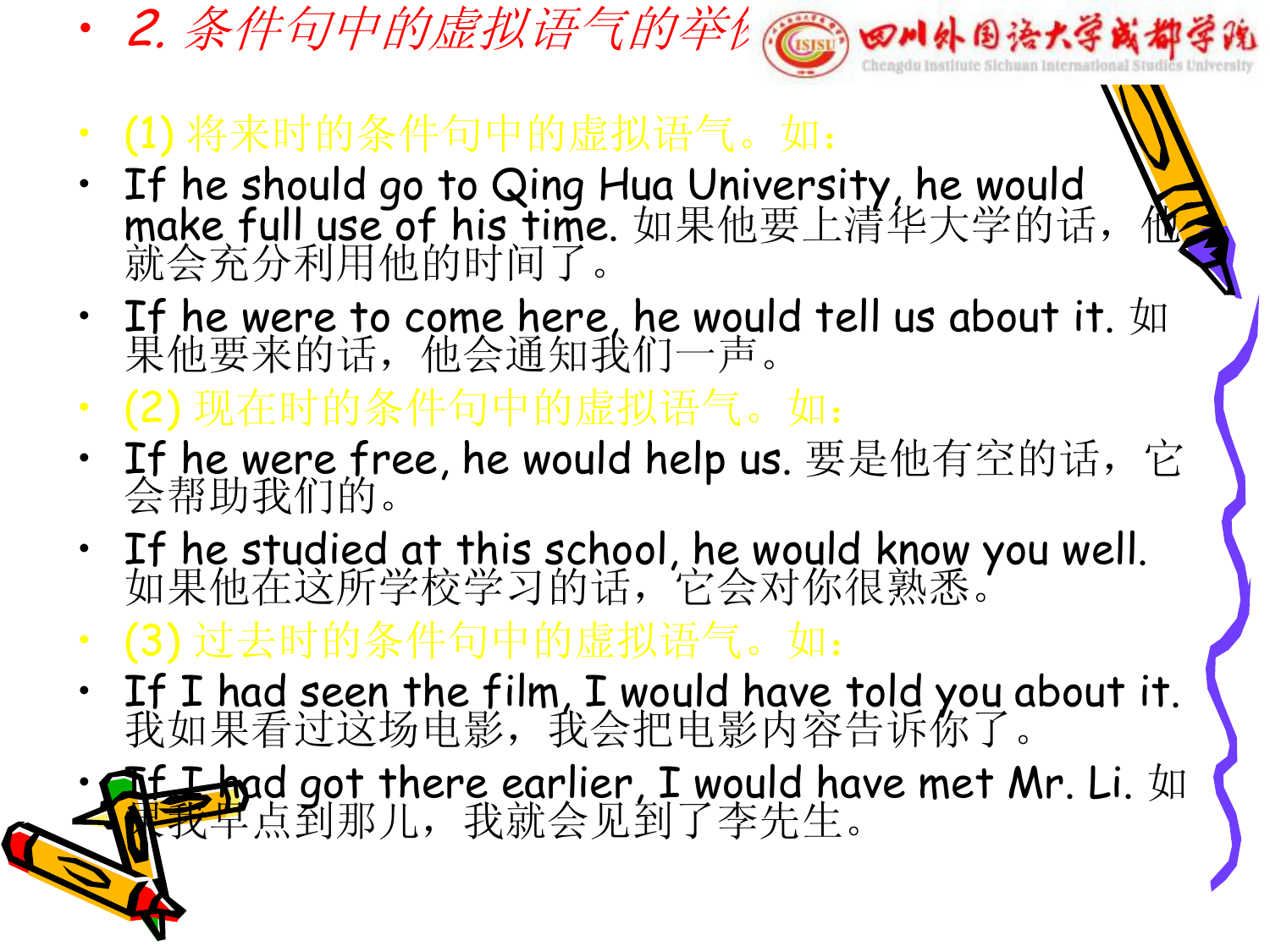- 2. 条件句中的虚拟语气的举例管例 四川外国语大学或都学说
- (1) 将来时的条件句中的虚拟语气。如:
- If he should go to Qing Hua University, he would make full use of his time. 如果他要上清华大学的话, 他 就会充分利用他的时间了。
- If he were to come here, he would tell us about it.  $\text{Im}$ 果他要来的话,他会通知我们一声。 我们要来的话,他会
- (2) 现在时的条件句中的虚拟语气。如:
- If he were free, he would help us. 要是他有空的话,它 会帮助我们的。
- If he studied at this school, he would know you well. 如果他在这所学校学习的话,它会对你很熟悉。
- (3) 过去时的条件句中的虚拟语气。如:
- If <sup>I</sup> had seen the film, <sup>I</sup> would have told you about it. 我如果看过这场电影,我会把电影内容告诉你了。
- **At I h**ad got there earlier, I would have met Mr. Li.  $\text{M}$ 保我早点到那儿,我就会见到了李先生。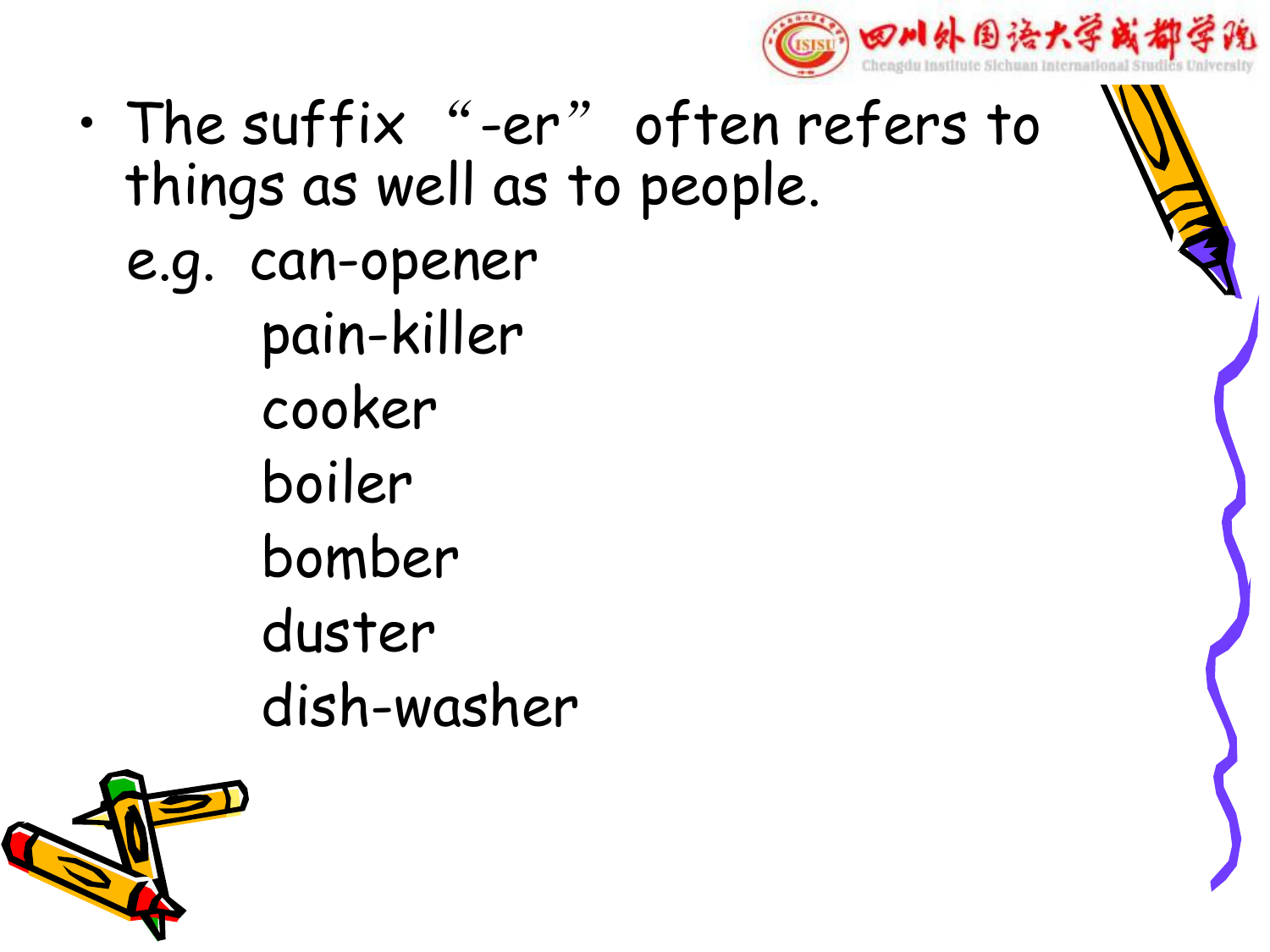

- The suffix "-er" often refers to things as well as to people.
	- e.g. can-opener pain-killer cooker boiler bomber duster dish-washer

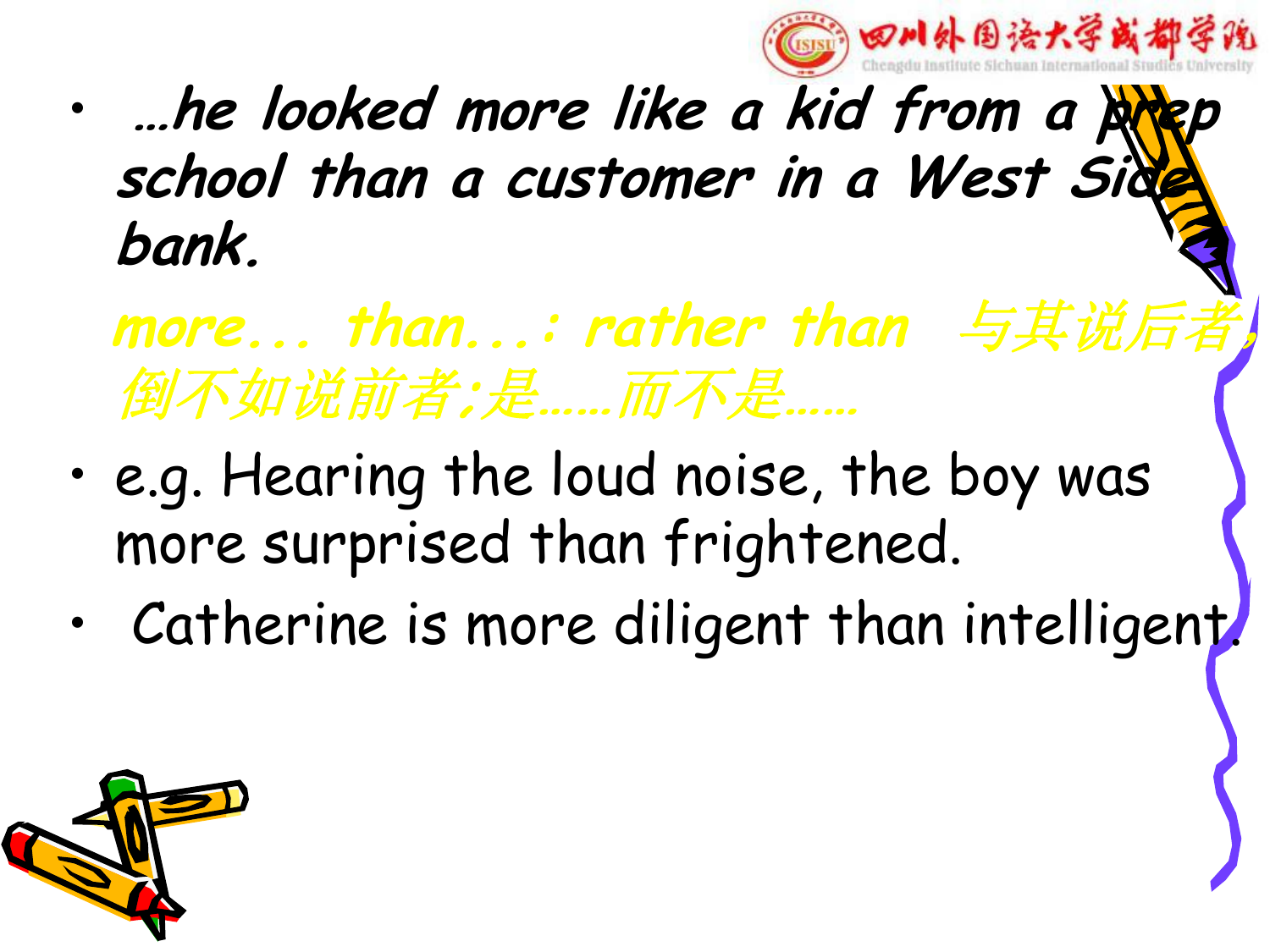

- **…he looked more like <sup>a</sup> kid from <sup>a</sup> prep school than <sup>a</sup> customer in <sup>a</sup> West Side bank.**
	- **more... than...: rather than** 与其说后者, 倒不如说前者**;**是**……**而不是**……**
- e.g. Hearing the loud noise, the boy was more surprised than frightened.
- Catherine is more diligent than intelligent.

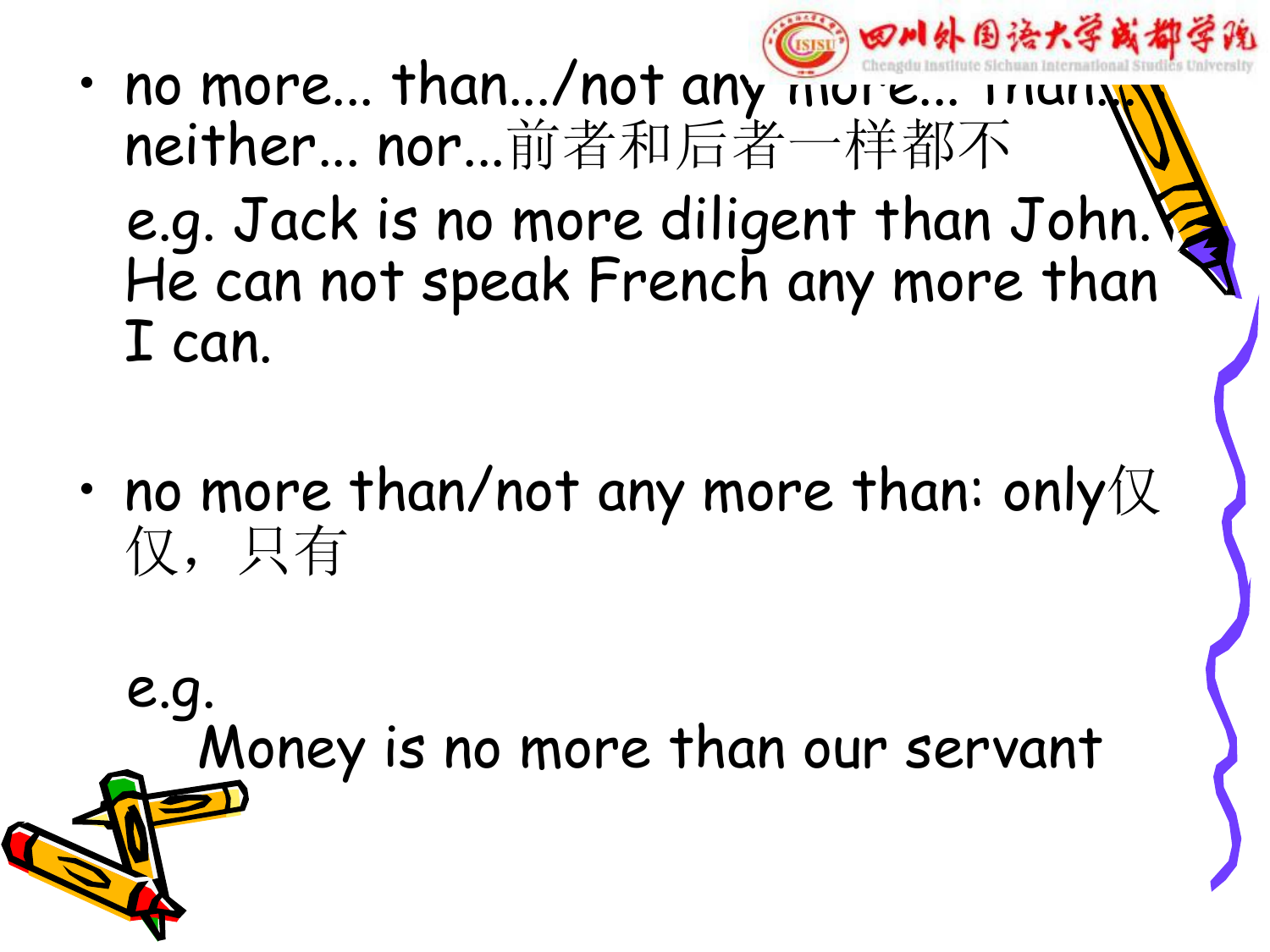**CERT** • no more... than.../not any more... ITIUTIN neither... nor...前者和后者一样都不 e.g. Jack is no more diligent than John. He can not speak French any more than I can.

四川外国语大学或都学说

• no more than/not any more than: only $\mathbb K$ 仅,只有

e.g.<br>Money is no more than our servant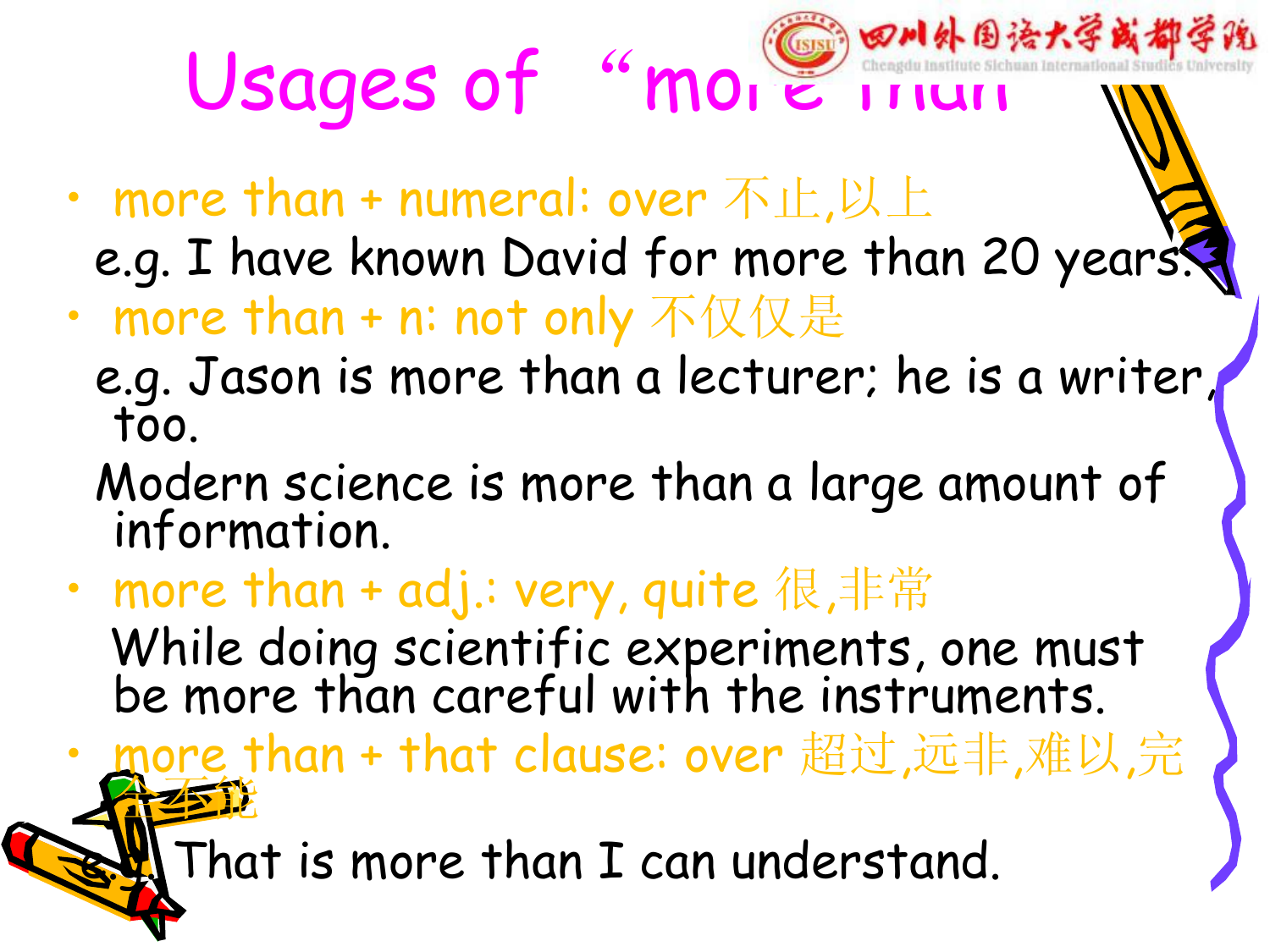Usages of "more inun W

- more than + numeral: over  $\pi$ 止,以上
	- e.g. I have known David for more than 20 years.
- more than + n: not only 不仅仅是
	- e.g. Jason is more than a lecturer; he is a writer, too.
	- Modern science is more than a large amount of information.
- more than + adj.: very, quite 很,非常

While doing scientific experiments, one must be more than careful with the instruments.

• more than + that clause: over 超过,远非,难以,完 全不能

That is more than I can understand.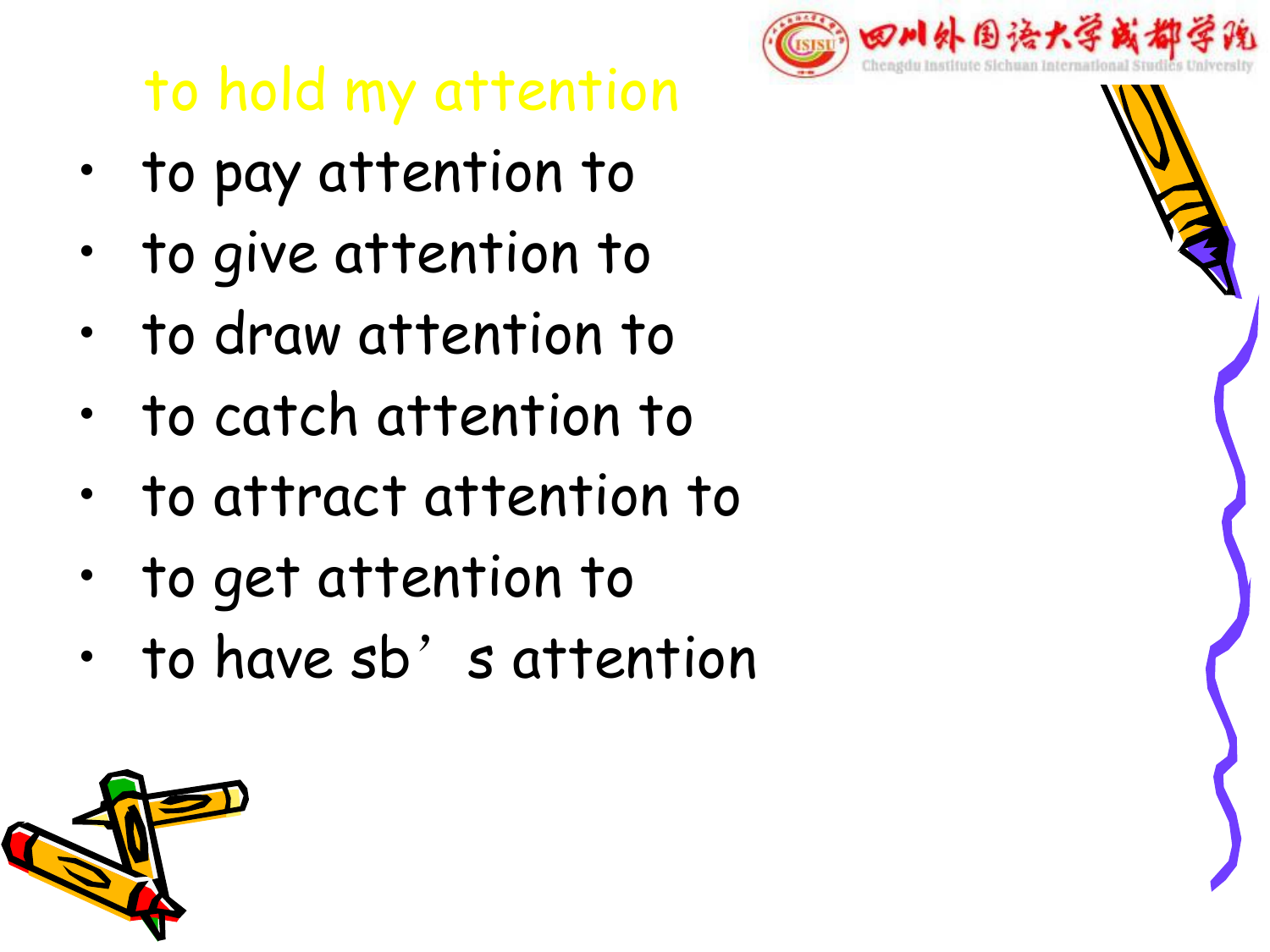## to hold my attention

- to pay attention to
- to give attention to
- to draw attention to
- to catch attention to
- to attract attention to
- to get attention to
- to have sb' s attention



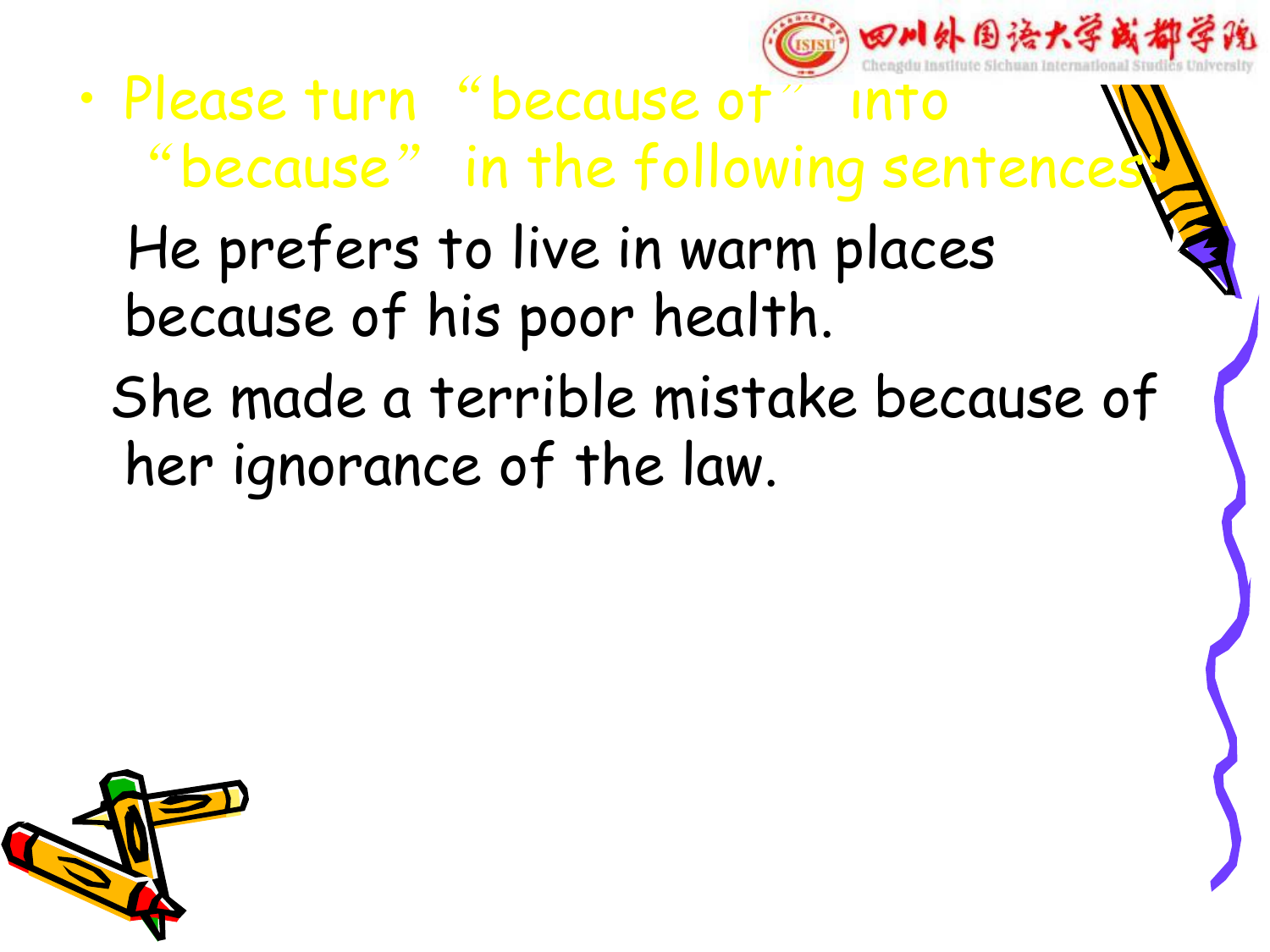四川外围语大学或

- Please turn "because of" into "because" in the following sentence. He prefers to live in warm places because of his poor health. She made a terrible mistake because of
	- her ignorance of the law.

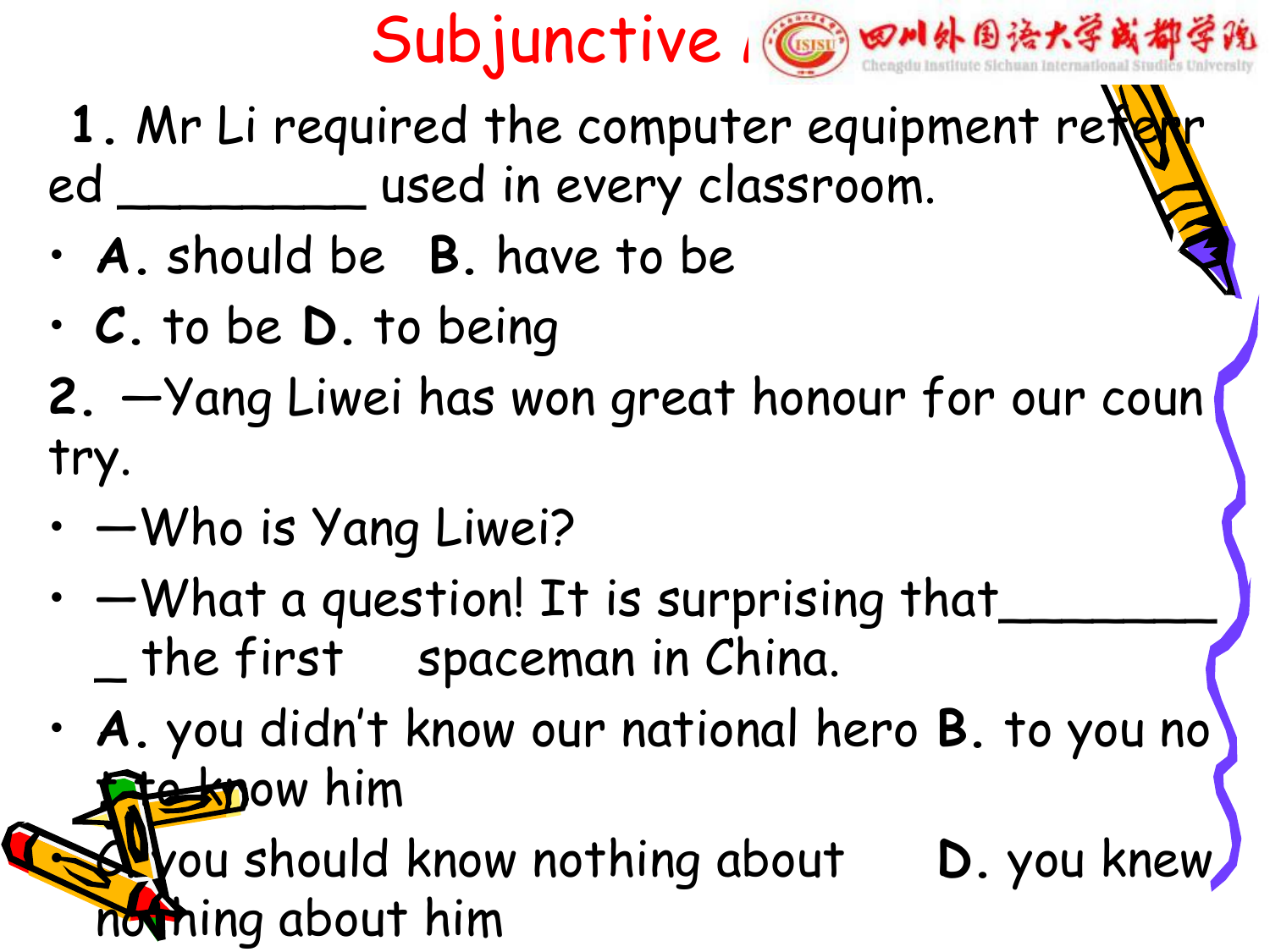



- 1. Mr Li required the computer equipment refe ed \_\_\_\_\_\_\_\_ used in every classroom.• **A.** should be **B.** have to be
- 
- **C.** to be **D.** to being
- **2.** —Yang Liwei has won great honour for our coun try.
- —Who is Yang Liwei?
- - What a question! It is surprising that \_ the first spaceman in China.
- **A.** you didn't know our national hero **B.** to you no **te know him**

**L**you should know nothing about **D.** you knew nothing about him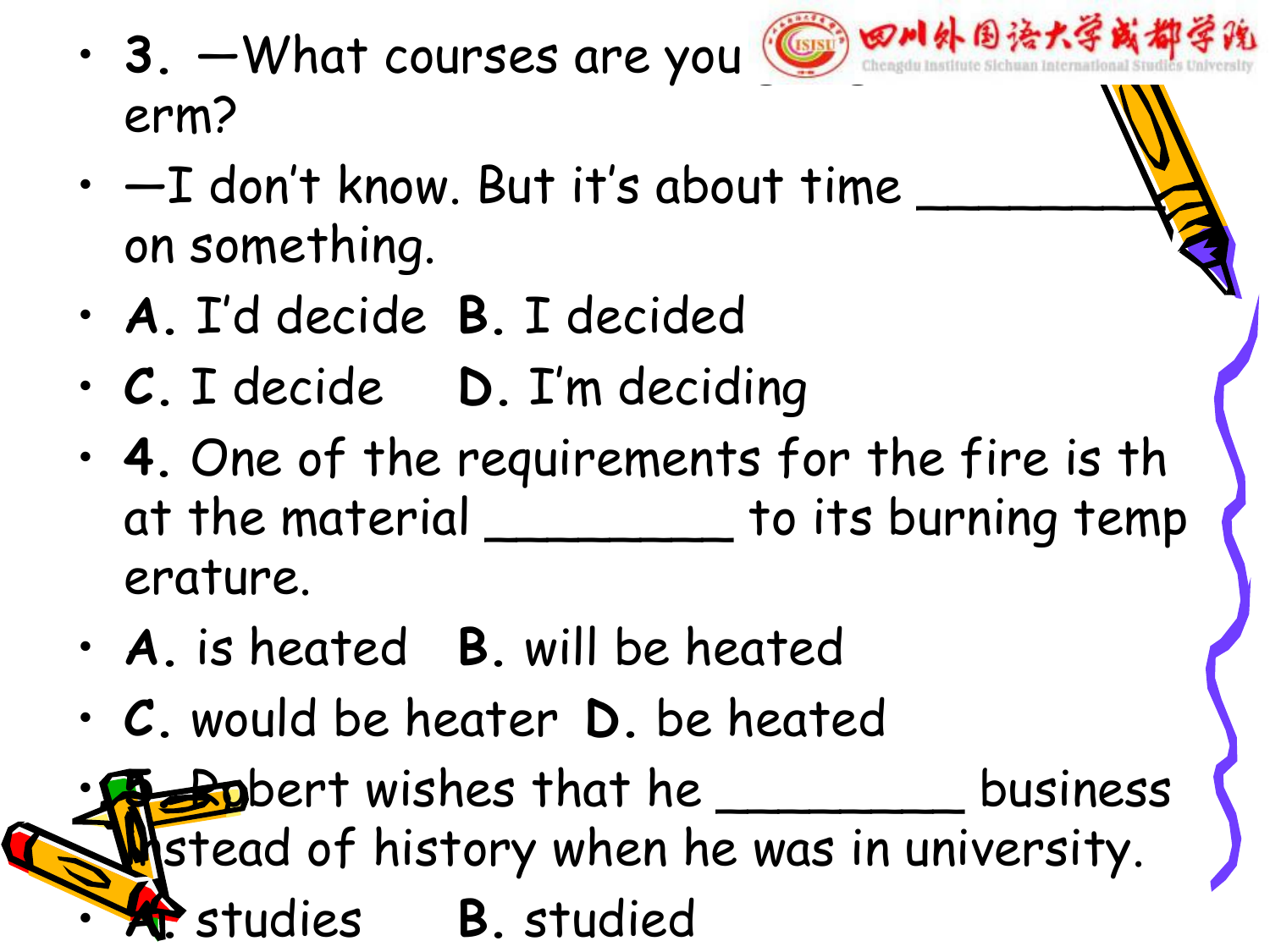· 3. —What courses are you **@ 8M外围语大学或都** erm?



- **A.** I'd decide **B.** I decided
- **C.** I decide **D.** I'm deciding
- **4.** One of the requirements for the fire is th at the material \_\_\_\_\_\_\_\_\_ to its burning temp erature.
- **A.** is heated **B.** will be heated
- **C.** would be heater **D.** be heated

**Bo**bert wishes that he \_\_\_\_\_\_\_\_\_ business **in**stead of history when he was in university. • **A.** studies **B.** studied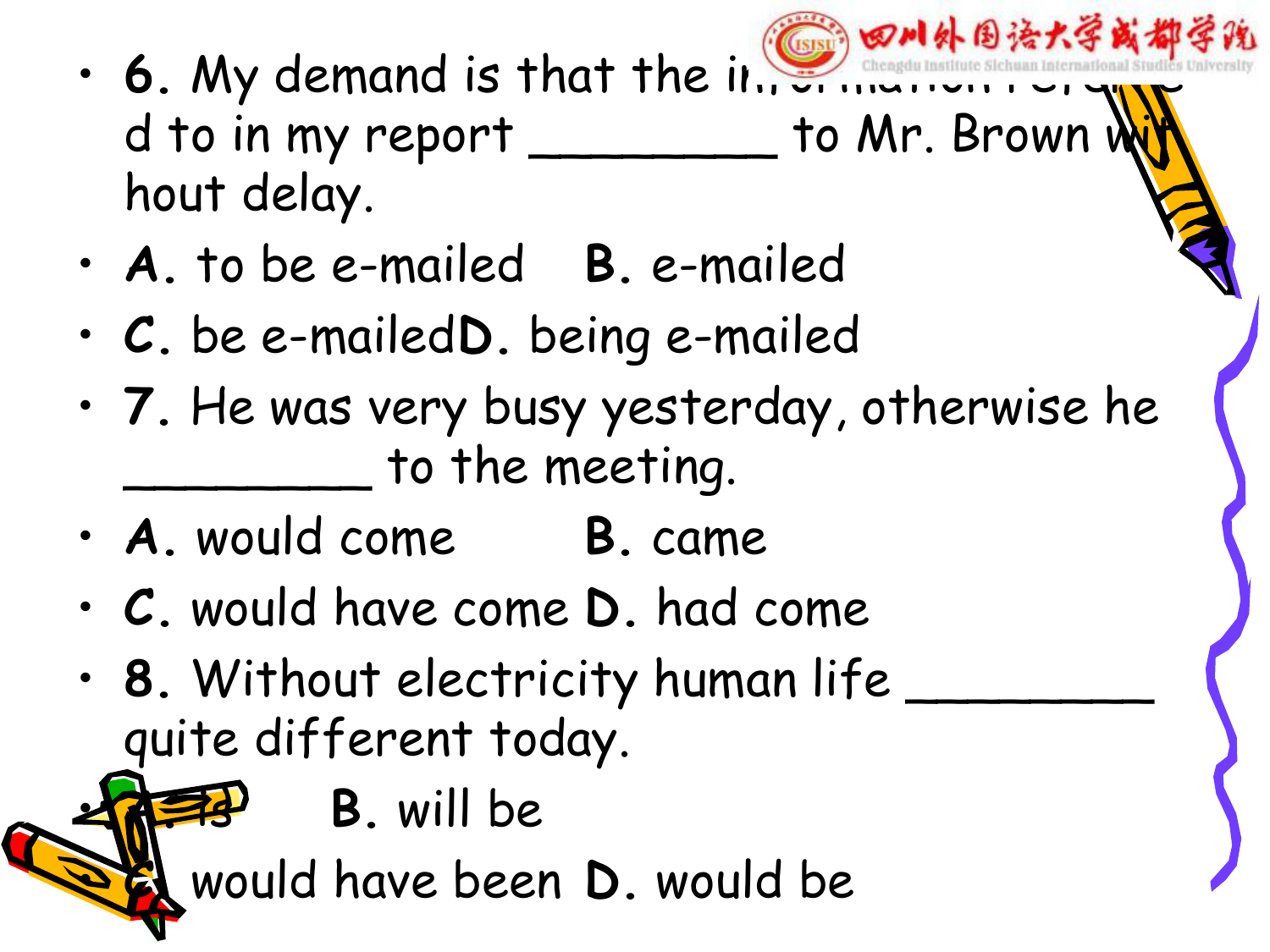- 四川外围治大学 • 6. My demand is that the information d to in my report \_\_\_\_\_\_\_ to Mr. Brown i hout delay.
- **A.** to be e-mailed **B.** e-mailed
- **C.** be e-mailed**D.** being e-mailed
- **7.** He was very busy yesterday, otherwise he  $\_$  to the meeting.
- **A.** would come **B.** came
- **C.** would have come **D.** had come
- **8.** Without electricity human life \_\_\_\_\_\_\_\_ quite different today.
	- **A.** is **B.** will be

**Et** would have been **D**. would be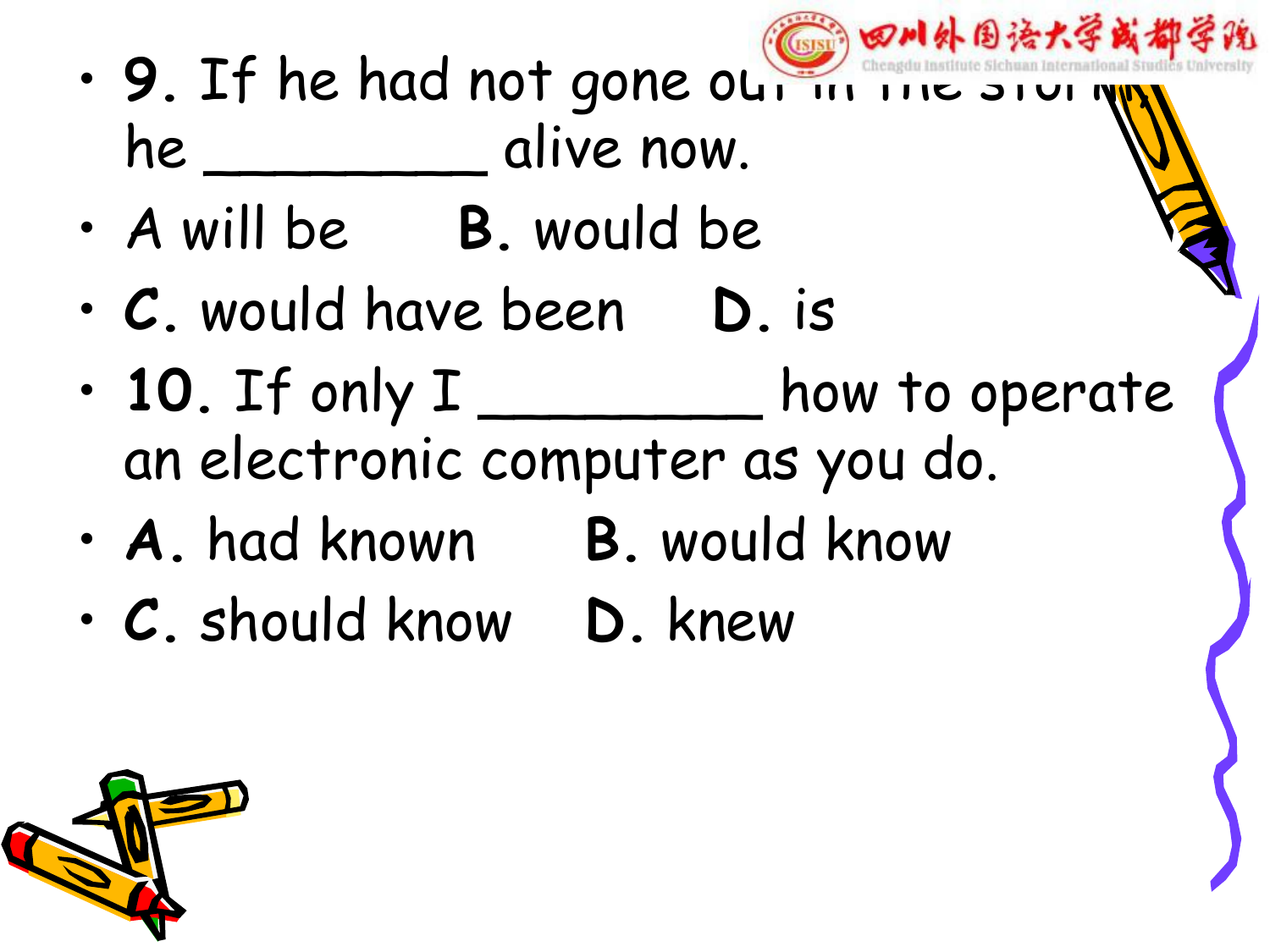- 四川外围语大学或都学说 (ISISI • 9. If he had not gone out in the state he \_\_\_\_\_\_\_\_\_\_ alive now.
- A will be **B.** would be
- **C.** would have been **D.** is
- **10.** If only I \_\_\_\_\_\_\_\_ how to operate an electronic computer as you do.
- **A.** had known **B.** would know
- **C.** should know **D.** knew

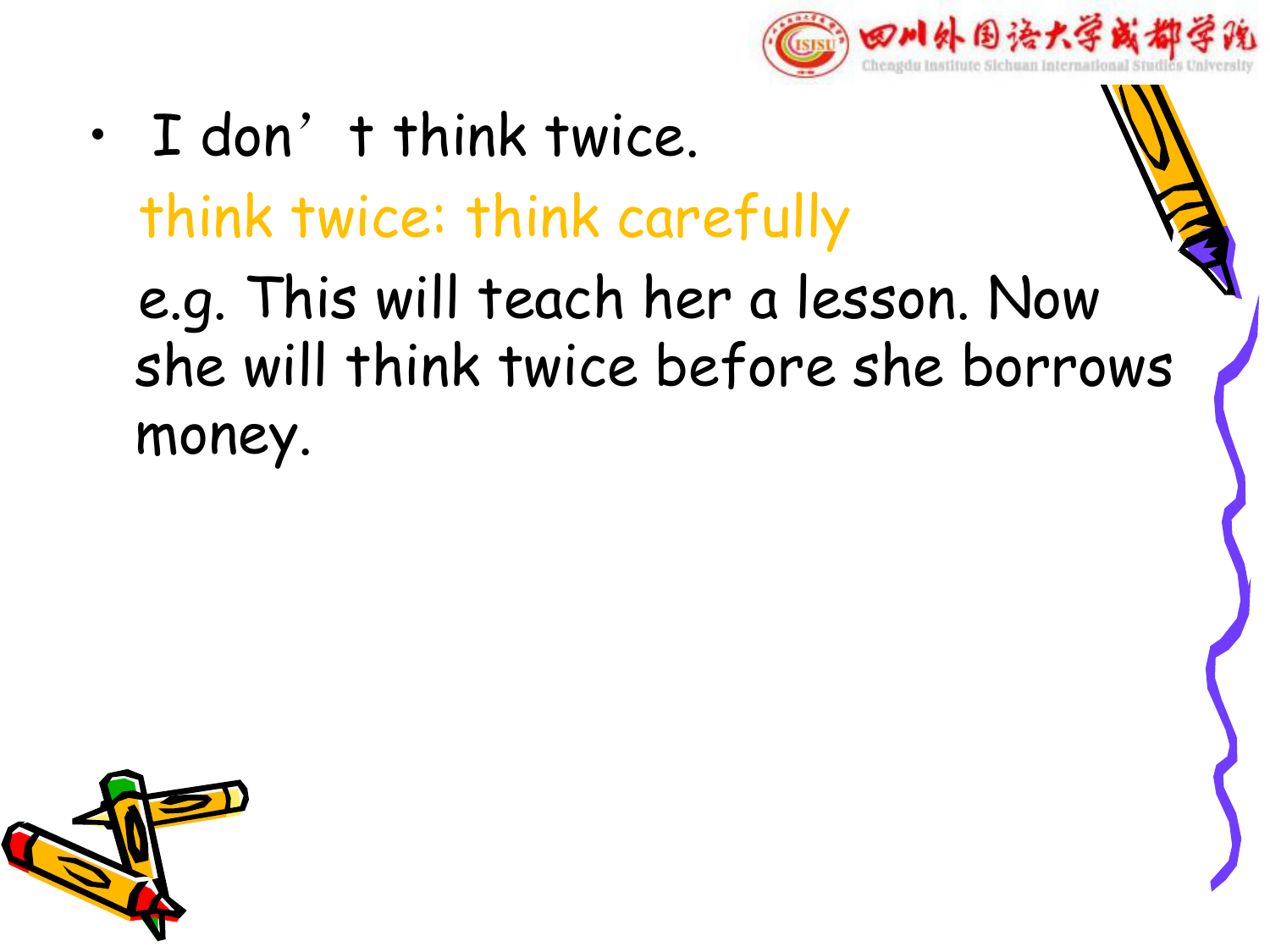

• I don't think twice. think twice: think carefully e.g. This will teach her a lesson. Now she will think twice before she borrows money.

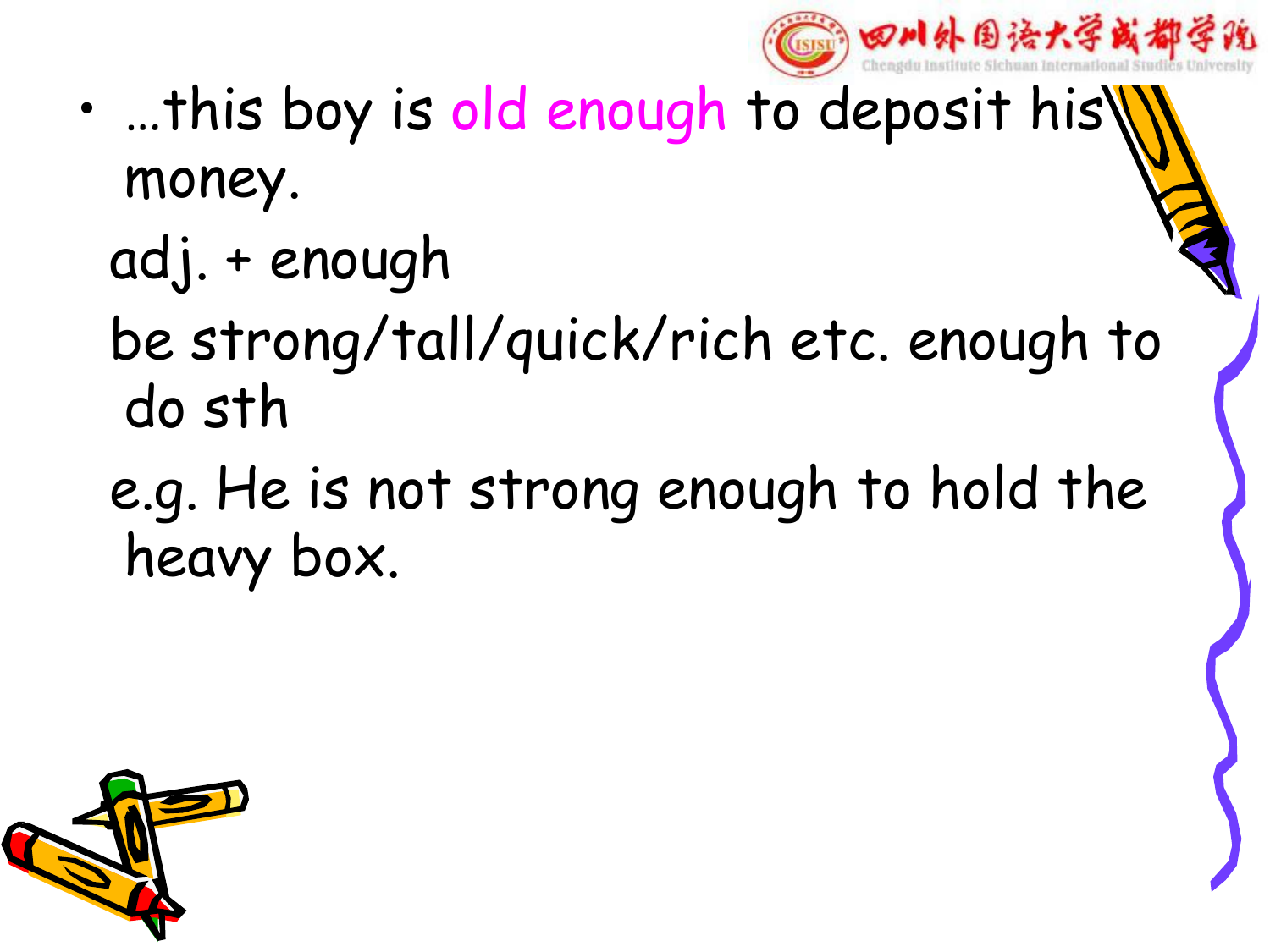

- …this boy is old enough to deposit his money.
	- adj. + enough
	- be strong/tall/quick/rich etc. enough to do sth
	- e.g. He is not strong enough to hold the heavy box.

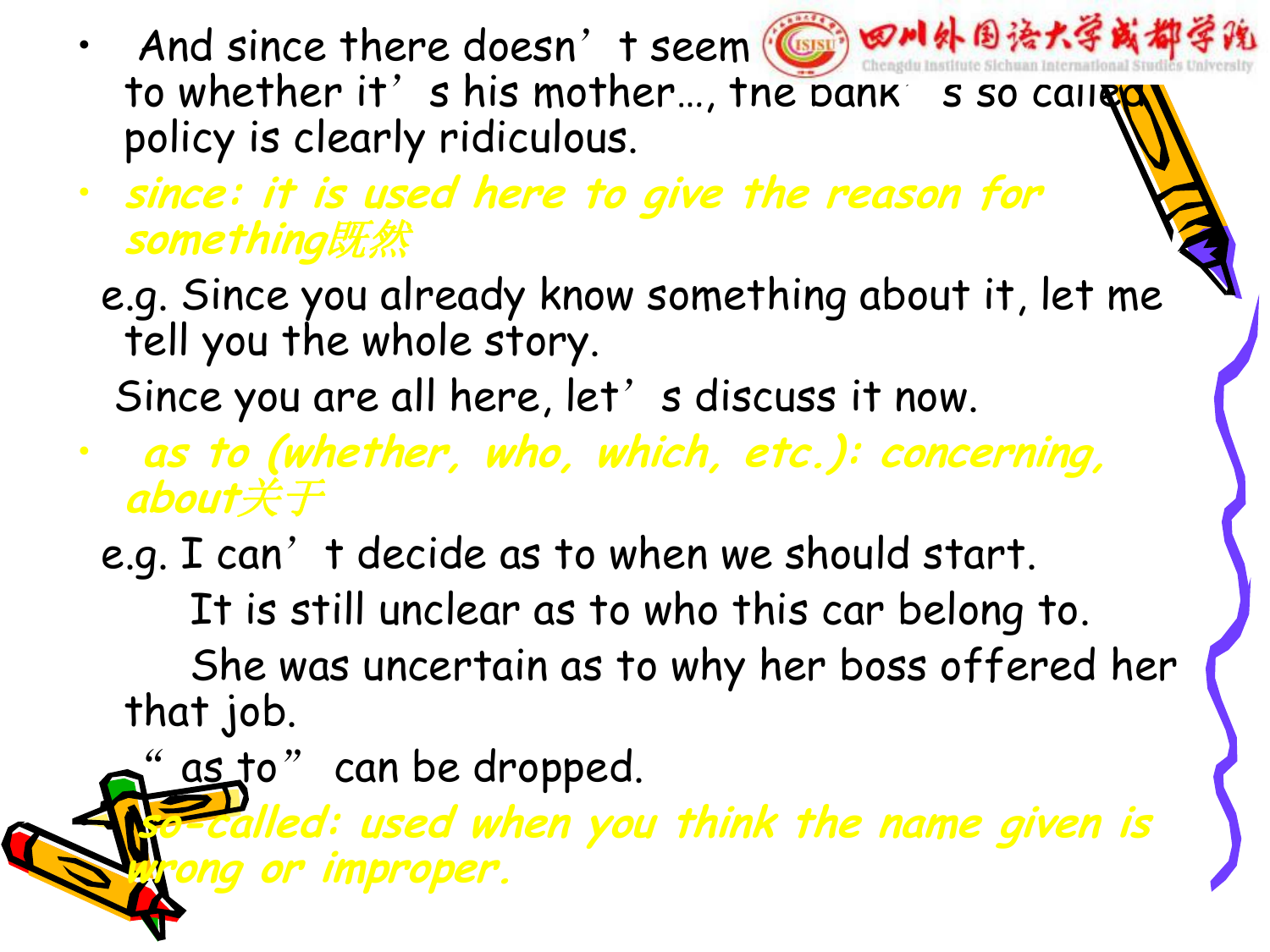- And since there doesn't seem ( 田 田川外国法大学或都学院 to whether it's his mother..., the bank's so caller policy is clearly ridiculous.
- **since: it is used here to give the reason for something**既然
	- e.g. Since you already know something about it, let me tell you the whole story.

Since you are all here, let' s discuss it now.

- **as to (whether, who, which, etc.): concerning, about**关于
- e.g. I can't decide as to when we should start. It is still unclear as to who this car belong to. She was uncertain as to why her boss offered her that job.

" as to" can be dropped. • **so-called: used when you think the name given is wrong or improper.**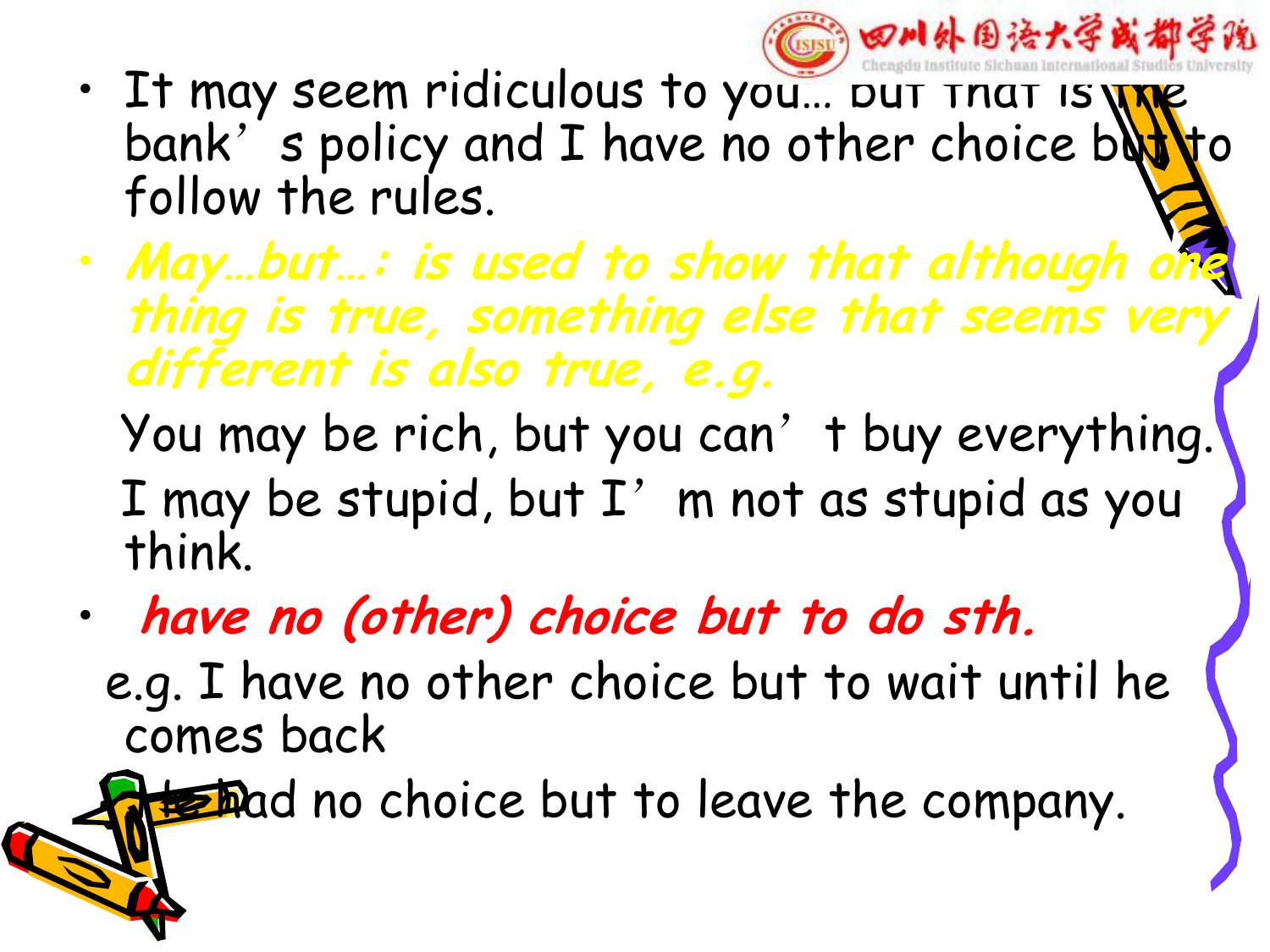

- It may seem ridiculous to you... put that is  $\frac{1}{10}$ bank's policy and I have no other choice but follow the rules.
- **May…but…: is used to show that although one thing is true, something else that seems very different is also true, e.g.**

You may be rich, but you can't buy everything. I may be stupid, but  $I'$  m not as stupid as you think.

• **have no (other) choice but to do sth.** e.g. I have no other choice but to wait until he comes back

**He had no choice but to leave the company.**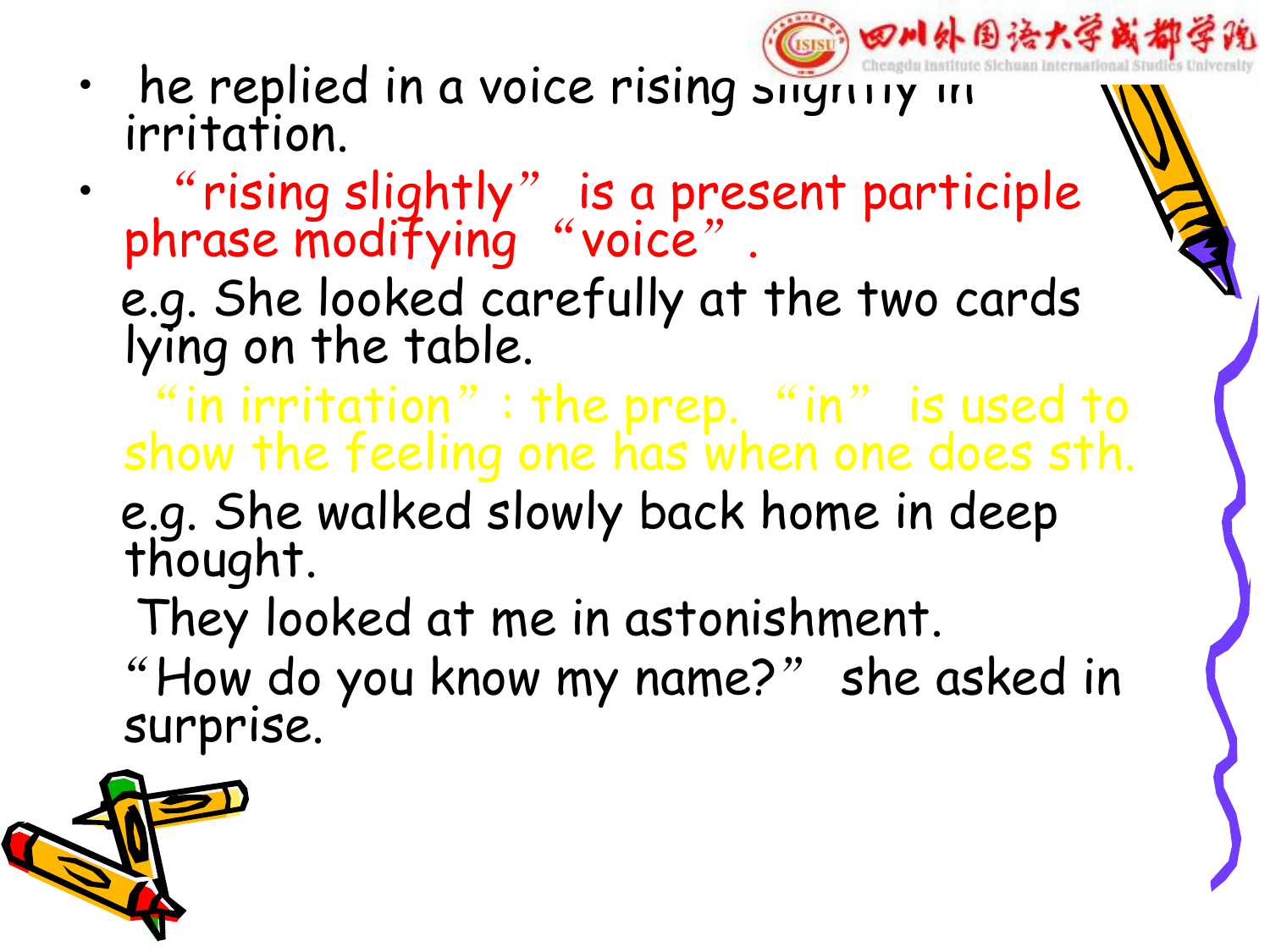

- he replied in a voice rising slightly in irritation.
- "rising slightly" is a present participle phrase modifying "voice".
	- e.g. She looked carefully at the two cards lying on the table.
	- "in irritation": the prep. "in" is used to show the feeling one has when one does sth.
	- e.g. She walked slowly back home in deep thought.
		- They looked at me in astonishment.
	- "How do you know my name?" she asked in surprise.

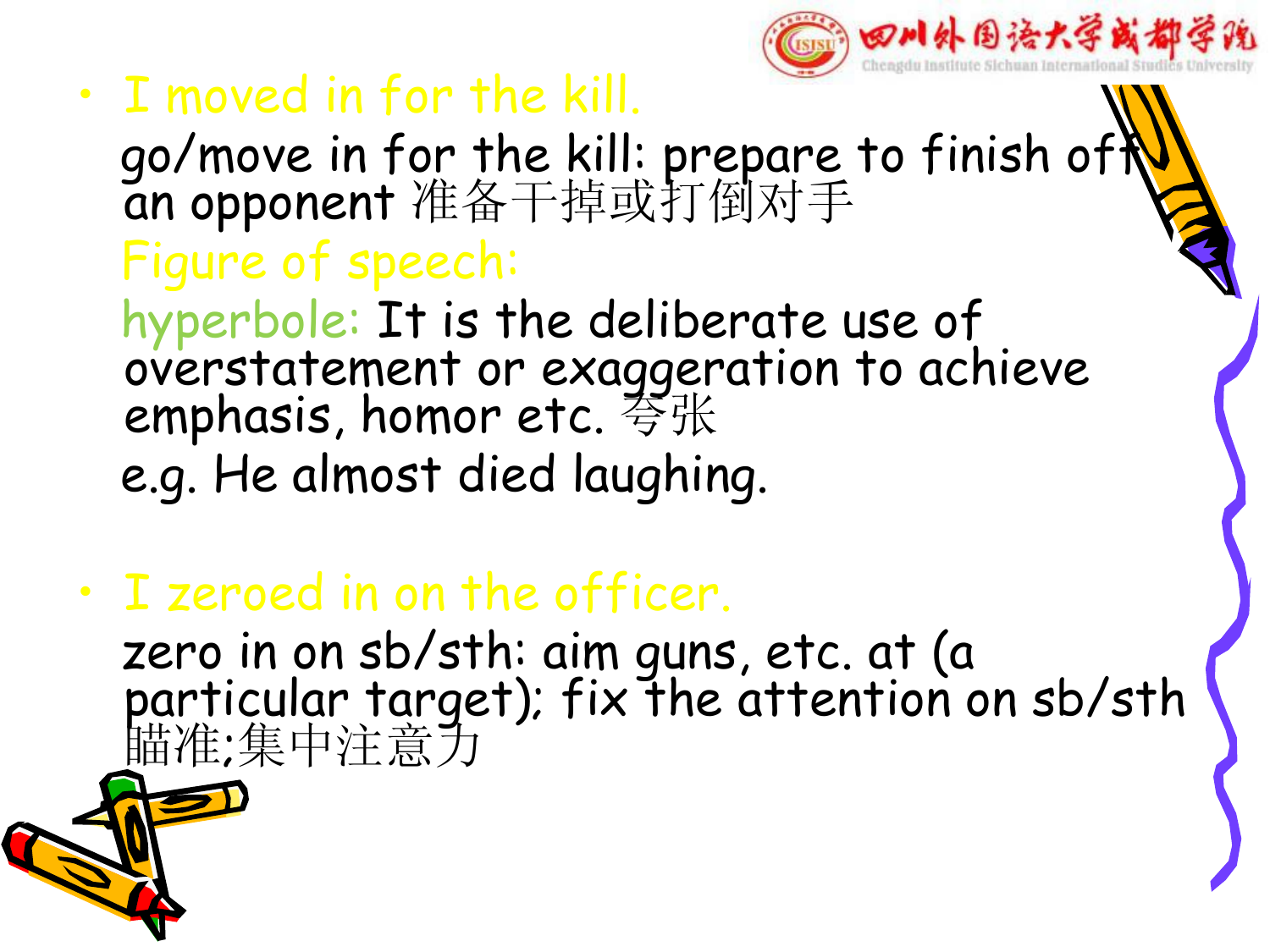

- I moved in for the kill.
	- go/move in for the kill: prepare to finish of $\mathbb{N}$ an opponent 准备干掉或打倒对手 Figure of speech: hyperbole: It is the deliberate use of
	- overstatement or exaggeration to achieve emphasis, homor etc. 夸张 e.g. He almost died laughing.
- I zeroed in on the officer. zero in on sb/sth: aim guns, etc. at (a particular target); fix the attention on sb/sth #推准;集中注意力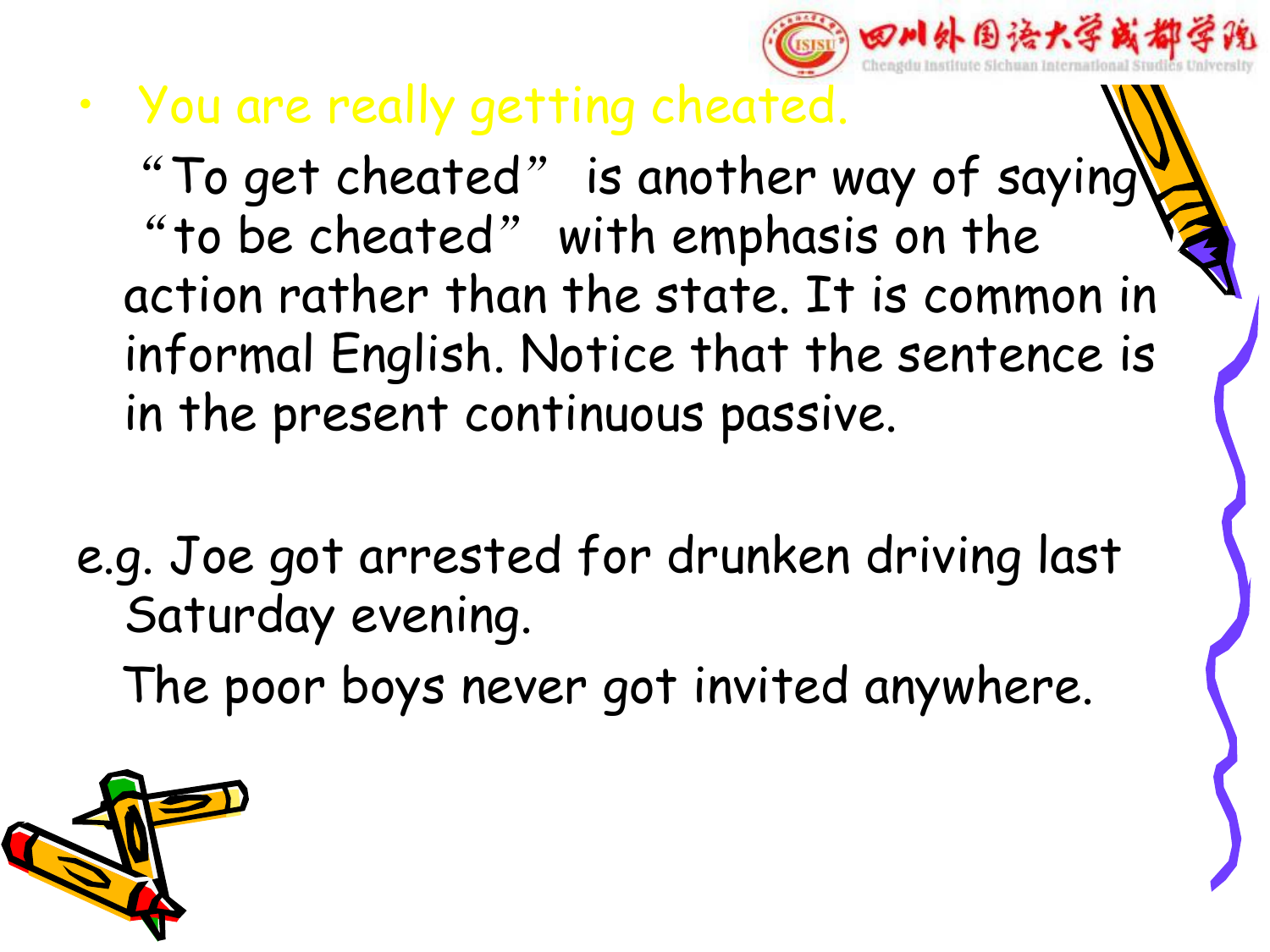

• You are really getting cheated.

"To get cheated" is another way of saying "to be cheated" with emphasis on the  $\sqrt{2}$ action rather than the state. It is common in informal English. Notice that the sentence is in the present continuous passive.

e.g. Joe got arrested for drunken driving last Saturday evening.



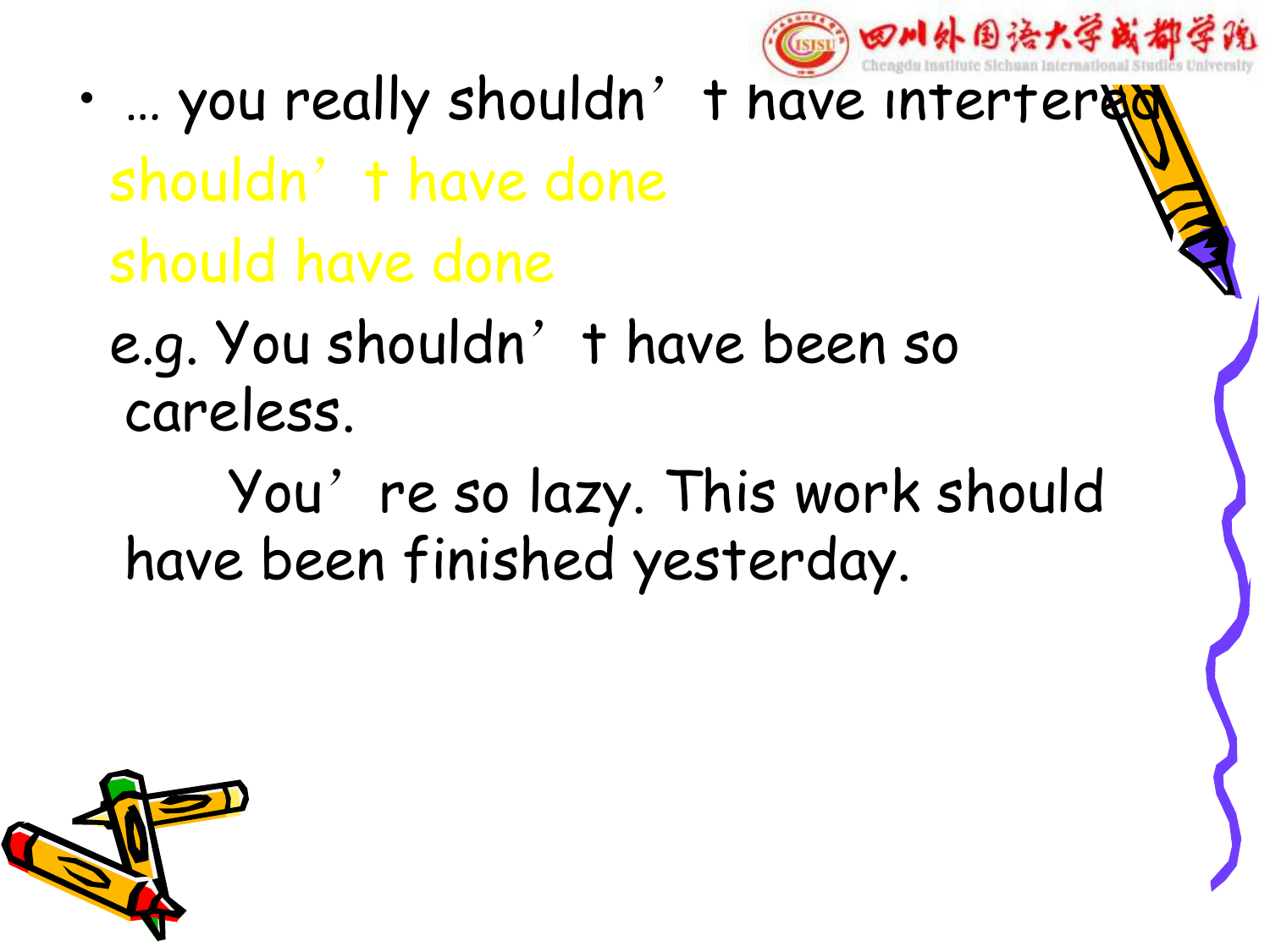

- ... you really shouldn't have intertered
	- shouldn't have done should have done
	- e.g. You shouldn't have been so careless.
		- You're so lazy. This work should have been finished yesterday.

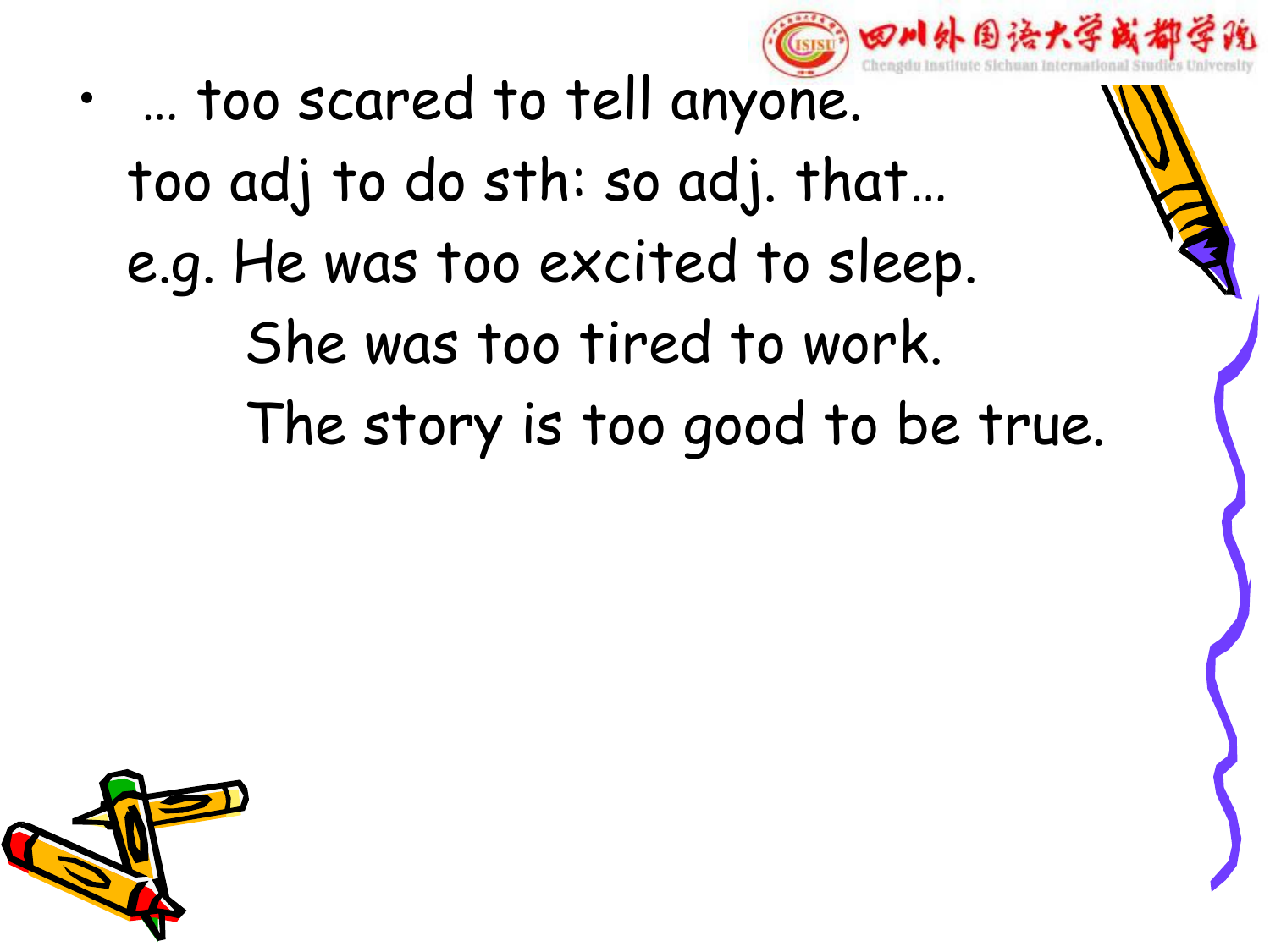

• … too scared to tell anyone. too adj to do sth: so adj. that… e.g. He was too excited to sleep. She was too tired to work. The story is too good to be true.

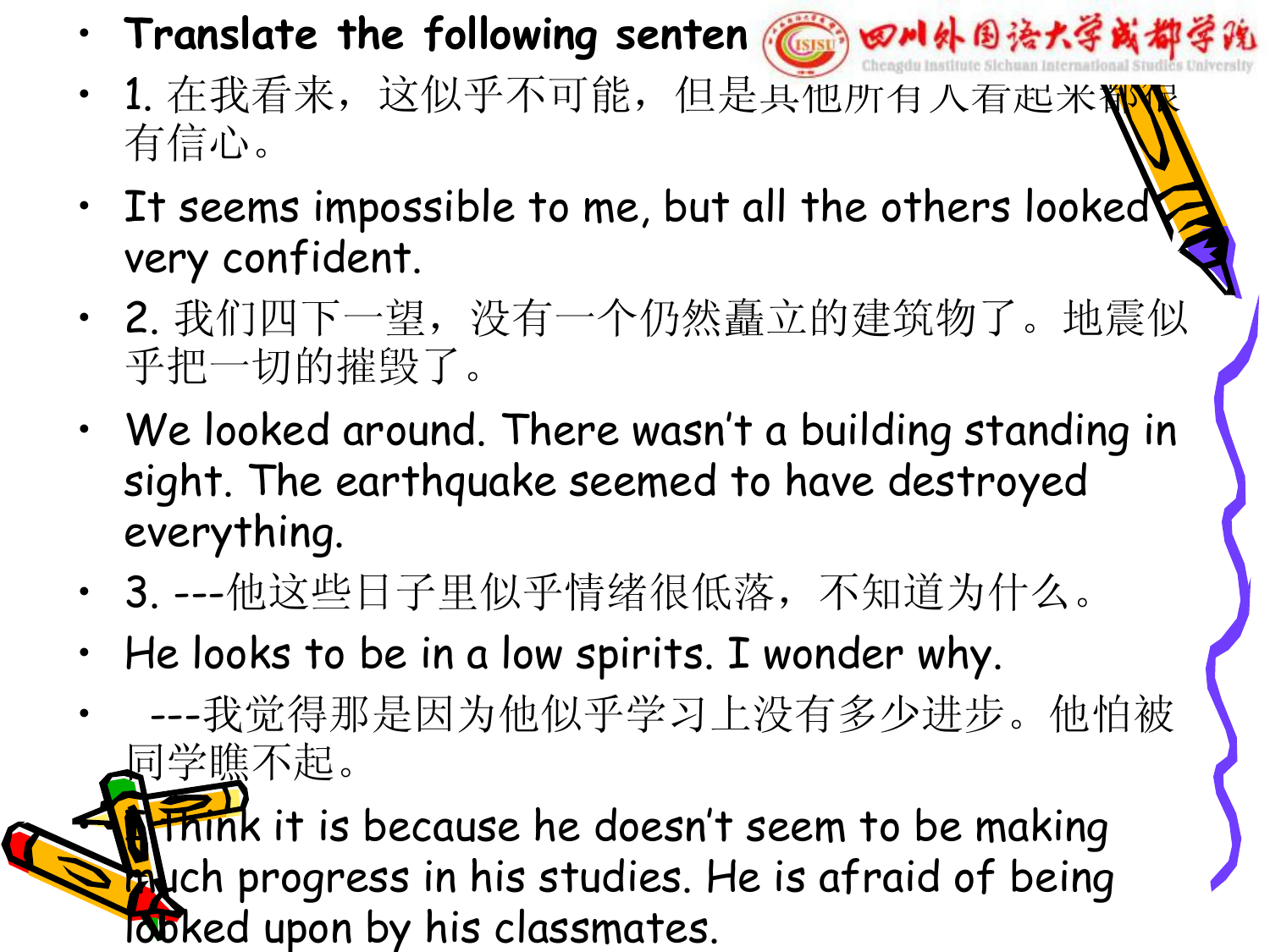- **Translate the following senten a 国家国家州外国语大学或都学院**
- 1. 在我看来,这似乎不可能,但是具他所有人看起米糊 有信心。
- It seems impossible to me, but all the others looked very confident.
- 2. 我们四下一望,没有一个仍然矗立的建筑物了。地震似 乎把一切的摧毁了。
- We looked around. There wasn't a building standing in sight. The earthquake seemed to have destroyed everything.
- 3. ---他这些日子里似乎情绪很低落,不知道为什么。
- He looks to be in a low spirits. I wonder why.
- ---我觉得那是因为他似乎学习上没有多少进步。他怕被 同学瞧不起。

Think it is because he doesn't seem to be making **Puch progress in his studies. He is afraid of being** looked upon by his classmates.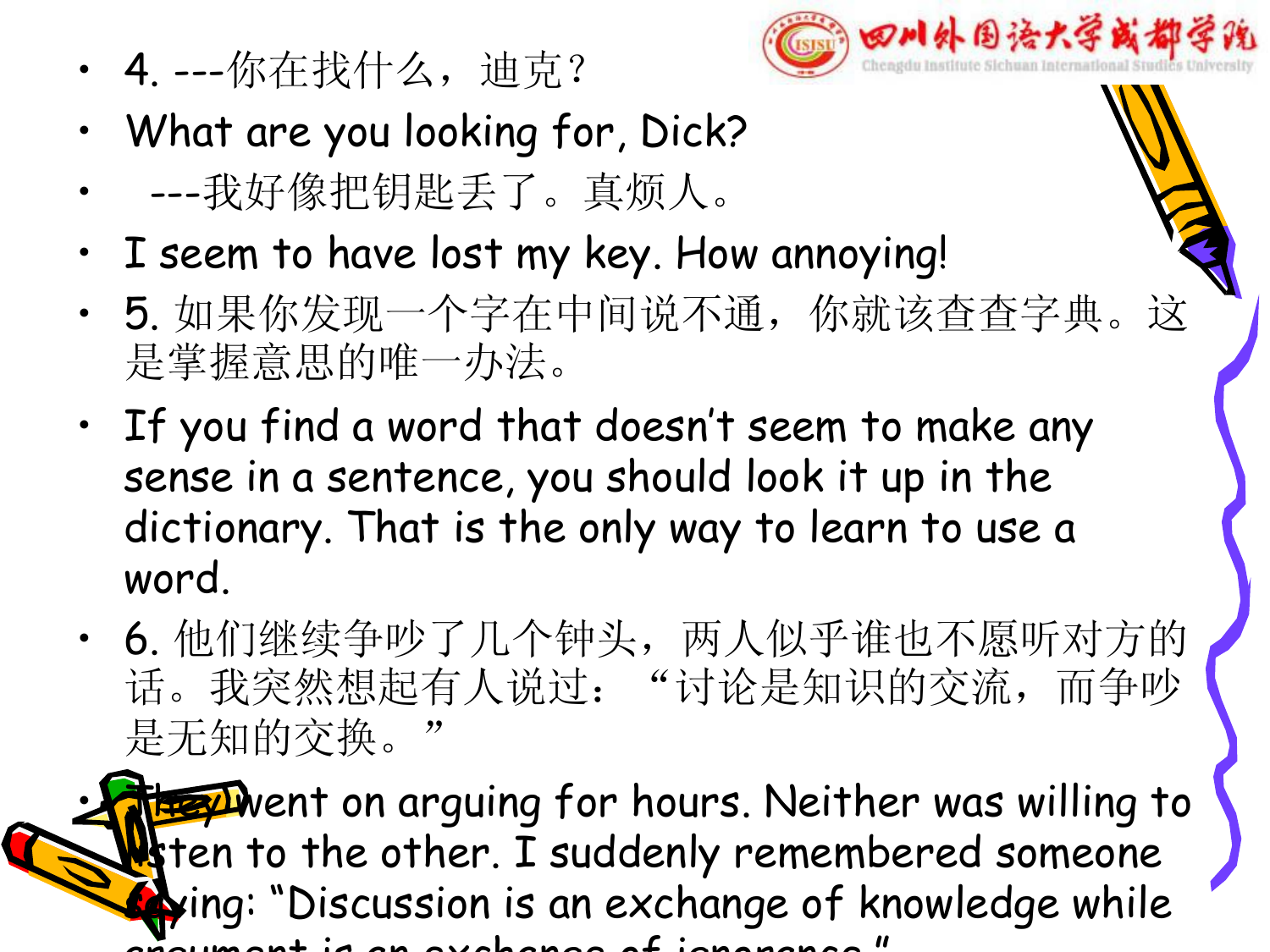

- What are you looking for, Dick?
- ---我好像把钥匙丢了。真烦人。
- I seem to have lost my key. How annoying!
- 5. 如果你发现一个字在中间说不通,你就该查查字典。这 是掌握意思的唯一办法。
- If you find a word that doesn't seem to make any sense in a sentence, you should look it up in the dictionary. That is the only way to learn to use a word.
- 6. 他们继续争吵了几个钟头,两人似乎谁也不愿听对方的 话。我突然想起有人说过: "讨论是知识的交流, 而争吵 \ 是无知的交换。  $\mathcal{L}$

**Fray** Went on arguing for hours. Neither was willing to **l** ten to the other. I suddenly remembered someone sing: "Discussion is an exchange of knowledge while argument is an exchange of ignorance."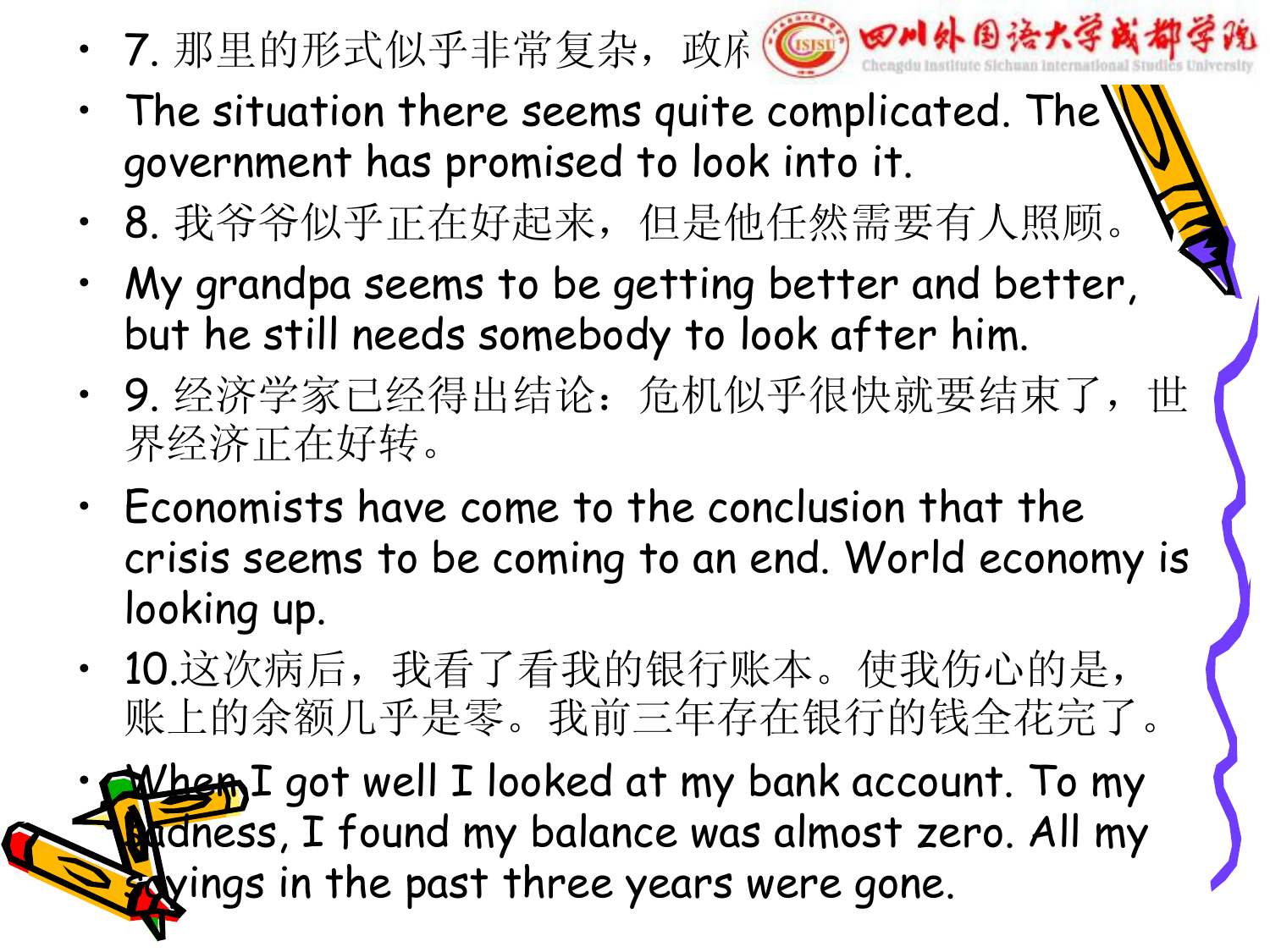• 7. 那里的形式似乎非常复杂,政府 s 实验如外的语大学或都



- $\cdot$  The situation there seems quite complicated. The government has promised to look into it.
- 8. 我爷爷似乎正在好起来,但是他任然需要有人照顾。
- My grandpa seems to be getting better and better, but he still needs somebody to look after him.
- 9. 经济学家已经得出结论: 危机似乎很快就要结束了, 世 界经济正在好转。
- Economists have come to the conclusion that the crisis seems to be coming to an end. World economy is looking up.
- 10.这次病后,我看了看我的银行账本。使我伤心的是, 账上的余额几乎是零。我前三年存在银行的钱全花完了。

When I got well I looked at my bank account. To my adness, I found my balance was almost zero. All my sayings in the past three years were gone.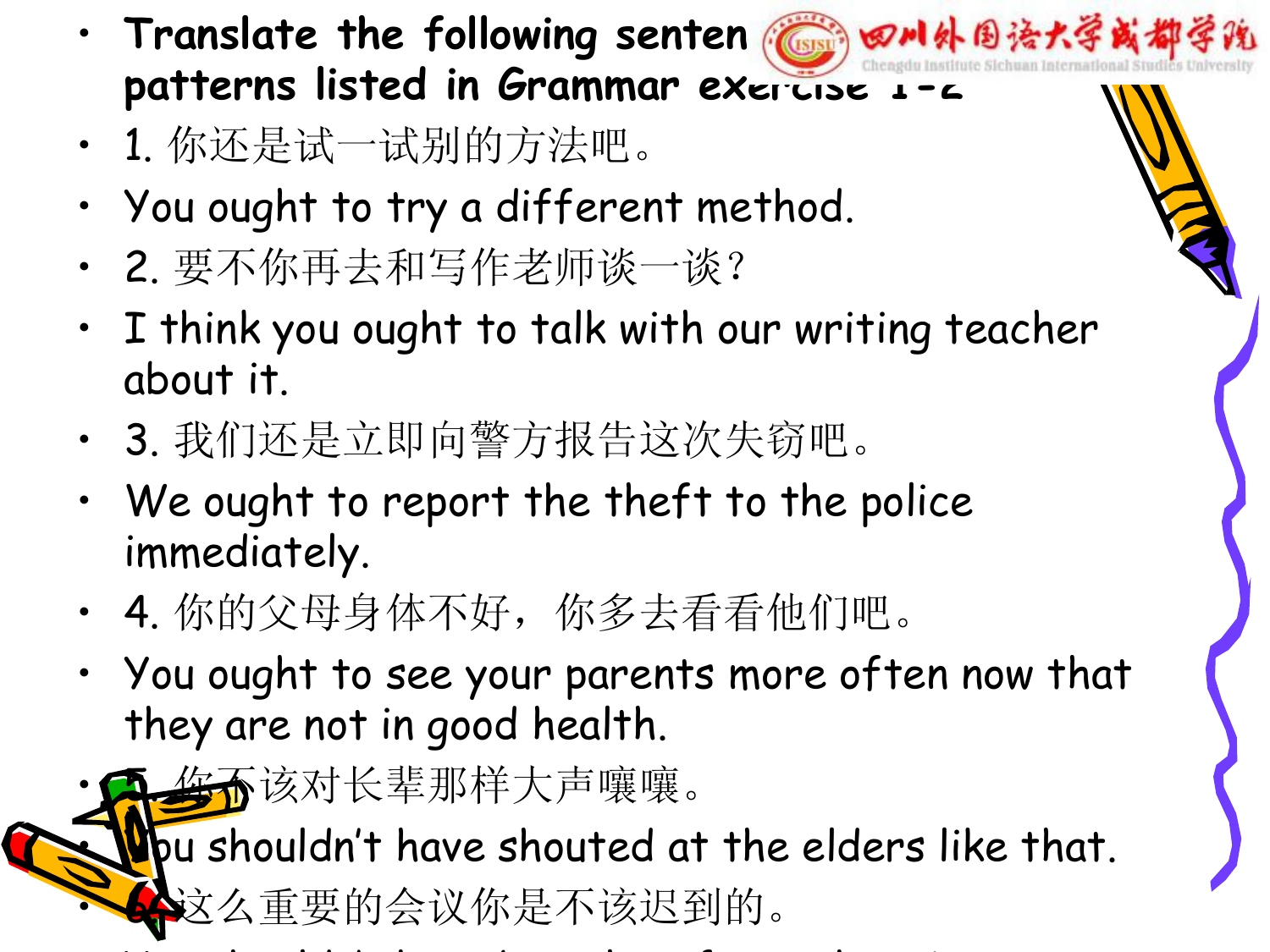- **Translate the following senten Cult 田川外国法大学或都学院 patterns listed in Grammar exercise 1-2**
- 1. 你还是试一试别的方法吧。
- You ought to try a different method.
- 2. 要不你再去和写作老师谈一谈?
- I think you ought to talk with our writing teacher about it.
- 3. 我们还是立即向警方报告这次失窃吧。
- We ought to report the theft to the police immediately.
- 4. 你的父母身体不好,你多去看看他们吧。
- You ought to see your parents more often now that they are not in good health.
- <del>驾不</del>该对长辈那样大声嚷嚷。

fou shouldn't have shouted at the elders like that.<br>◆这么重要的会议你是不该迟到的。

 $\bullet$  you should be a shouldn't have been late for such an important for such an important  $\bullet$